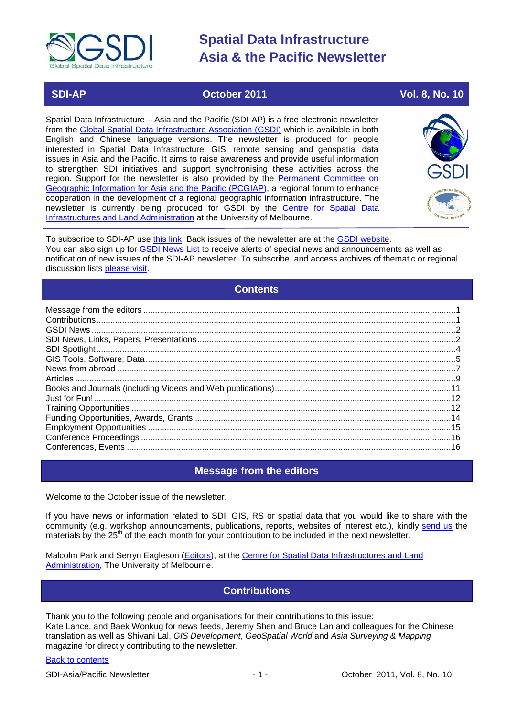

 **SDI-AP October 2011 Vol. 8, No. 10**

Spatial Data Infrastructure – Asia and the Pacific (SDI-AP) is a free electronic newsletter from the [Global Spatial Data Infrastructure Association \(GSDI\)](http://www.gsdi.org/) which is available in both English and Chinese language versions. The newsletter is produced for people interested in Spatial Data Infrastructure, GIS, remote sensing and geospatial data issues in Asia and the Pacific. It aims to raise awareness and provide useful information to strengthen SDI initiatives and support synchronising these activities across the region. Support for the newsletter is also provided by the Permanent Committee on [Geographic Information for Asia and the Pacific \(PCGIAP\)](http://www.pcgiap.org/), a regional forum to enhance cooperation in the development of a regional geographic information infrastructure. The newsletter is currently being produced for GSDI by the [Centre for Spatial Data](http://www.csdila.unimelb.edu.au/)  [Infrastructures and Land Administration](http://www.csdila.unimelb.edu.au/) at the University of Melbourne.



To subscribe to SDI-AP use [this link.](http://www.gsdi.org/newslist/gsdisubscribe.asp) Back issues of the newsletter are at the [GSDI website.](http://www.gsdi.org/newsletters.asp) You can also sign up for **GSDI News List** to receive alerts of special news and announcements as well as notification of new issues of the SDI-AP newsletter. To subscribe and access archives of thematic or regional discussion lists [please visit.](http://www.gsdi.org/discussionlists.asp)

### **Contents**

<span id="page-0-0"></span>

### **Message from the editors**

<span id="page-0-1"></span>Welcome to the October issue of the newsletter.

If you have news or information related to SDI, GIS, RS or spatial data that you would like to share with the community (e.g. workshop announcements, publications, reports, websites of interest etc.), kindly [send us](mailto:.SDI-AP@gsdi.org) the materials by the 25<sup>th</sup> of the each month for your contribution to be included in the next newsletter.

<span id="page-0-2"></span>Malcolm Park and Serryn Eagleson [\(Editors\)](mailto:Editor.SDIAP@gmail.com), at the [Centre for Spatial Data Infrastructures and Land](http://www.csdila.unimelb.edu.au/)  [Administration,](http://www.csdila.unimelb.edu.au/) The University of Melbourne.

### **Contributions**

Thank you to the following people and organisations for their contributions to this issue: Kate Lance, and Baek Wonkug for news feeds, Jeremy Shen and Bruce Lan and colleagues for the Chinese translation as well as Shivani Lal, *GIS Development*, *GeoSpatial World* and *Asia Surveying & Mapping* magazine for directly contributing to the newsletter.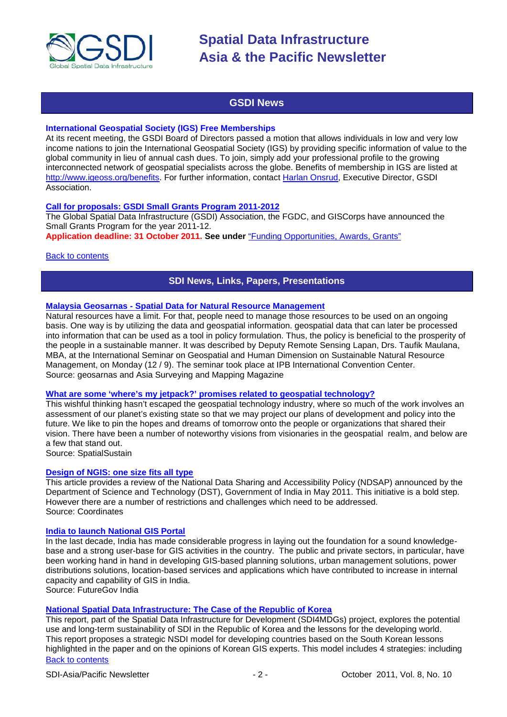

### **GSDI News**

#### <span id="page-1-0"></span>**International Geospatial Society (IGS) Free Memberships**

At its recent meeting, the GSDI Board of Directors passed a motion that allows individuals in low and very low income nations to join the International Geospatial Society (IGS) by providing specific information of value to the global community in lieu of annual cash dues. To join, simply add your professional profile to the growing interconnected network of geospatial specialists across the globe. Benefits of membership in IGS are listed at [http://www.igeoss.org/benefits.](https://owa.unimelb.edu.au/owa/redir.aspx?C=54c2b4d3973d480282dc7c38384f4204&URL=http%3a%2f%2fwww.igeoss.org%2fbenefits) For further information, contact [Harlan Onsrud,](mailto:onsrud@gsdi.org) Executive Director, GSDI Association.

#### **[Call for proposals: GSDI Small Grants Program 2011-2012](http://www.gsdi.org/node/315)**

The Global Spatial Data Infrastructure (GSDI) Association, the FGDC, and GISCorps have announced the Small Grants Program for the year 2011-12.

**Application deadline: 31 October 2011. See under** ["Funding Opportunities, Awards, Grants"](#page-13-0)

#### <span id="page-1-1"></span>[Back to contents](#page-0-0)

### **SDI News, Links, Papers, Presentations**

#### **Malaysia Geosarnas - [Spatial Data for Natural Resource Management](http://www.asmmag.com/201109212227/malaysia-geosarnas-spatial-data-for-natural-resource-management.html)**

Natural resources have a limit. For that, people need to manage those resources to be used on an ongoing basis. One way is by utilizing the data and geospatial information. geospatial data that can later be processed into information that can be used as a tool in policy formulation. Thus, the policy is beneficial to the prosperity of the people in a sustainable manner. It was described by Deputy Remote Sensing Lapan, Drs. Taufik Maulana, MBA, at the International Seminar on Geospatial and Human Dimension on Sustainable Natural Resource Management, on Monday (12 / 9). The seminar took place at IPB International Convention Center. Source: geosarnas and Asia Surveying and Mapping Magazine

#### **[What are some 'where's my jetpack?' promises related to geospatial technology?](http://www.vector1media.com/spatialsustain/what-are-some-wheres-my-jetpack-promises-related-to-geospatial-technology.html)**

This wishful thinking hasn't escaped the geospatial technology industry, where so much of the work involves an assessment of our planet's existing state so that we may project our plans of development and policy into the future. We like to pin the hopes and dreams of tomorrow onto the people or organizations that shared their vision. There have been a number of noteworthy visions from visionaries in the geospatial realm, and below are a few that stand out.

Source: SpatialSustain

### **[Design of NGIS: one size fits all type](http://mycoordinates.org/design-of-ngis-one-size-fits-all-type/)**

This article provides a review of the National Data Sharing and Accessibility Policy (NDSAP) announced by the Department of Science and Technology (DST), Government of India in May 2011. This initiative is a bold step. However there are a number of restrictions and challenges which need to be addressed. Source: Coordinates

#### **[India to launch National GIS Portal](http://www.futuregov.in/articles/2011/sep/20/india-launch-national-gis-portal/)**

In the last decade, India has made considerable progress in laying out the foundation for a sound knowledgebase and a strong user-base for GIS activities in the country. The public and private sectors, in particular, have been working hand in hand in developing GIS-based planning solutions, urban management solutions, power distributions solutions, location-based services and applications which have contributed to increase in internal capacity and capability of GIS in India.

Source: FutureGov India

### **[National Spatial Data Infrastructure: The Case of the Republic of Korea](http://www.infodev.org/en/Publication.1110.html)**

[Back to contents](#page-0-0) This report, part of the Spatial Data Infrastructure for Development (SDI4MDGs) project, explores the potential use and long-term sustainability of SDI in the Republic of Korea and the lessons for the developing world. This report proposes a strategic NSDI model for developing countries based on the South Korean lessons highlighted in the paper and on the opinions of Korean GIS experts. This model includes 4 strategies: including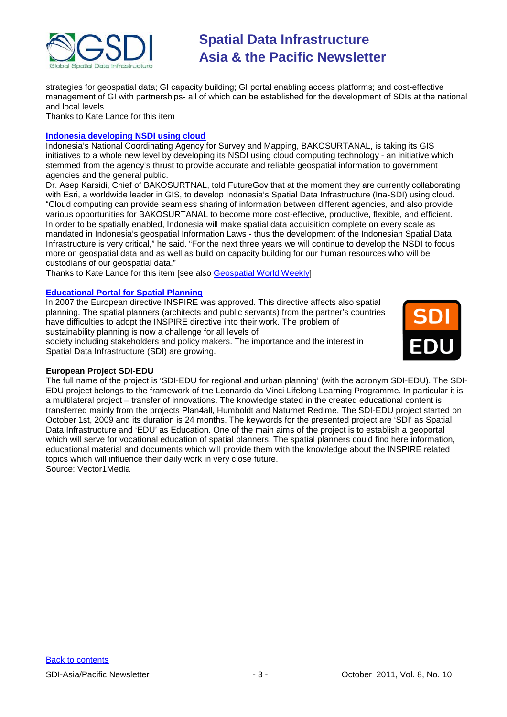

strategies for geospatial data; GI capacity building; GI portal enabling access platforms; and cost-effective management of GI with partnerships- all of which can be established for the development of SDIs at the national and local levels.

Thanks to Kate Lance for this item

#### **[Indonesia developing NSDI using cloud](http://www.futuregov.asia/articles/2011/sep/15/indonesia-develops-nsdi-using-cloud/)**

Indonesia's National Coordinating Agency for Survey and Mapping, BAKOSURTANAL, is taking its GIS initiatives to a whole new level by developing its NSDI using cloud computing technology - an initiative which stemmed from the agency's thrust to provide accurate and reliable geospatial information to government agencies and the general public.

Dr. Asep Karsidi, Chief of BAKOSURTNAL, told FutureGov that at the moment they are currently collaborating with Esri, a worldwide leader in GIS, to develop Indonesia's Spatial Data Infrastructure (Ina-SDI) using cloud. "Cloud computing can provide seamless sharing of information between different agencies, and also provide various opportunities for BAKOSURTANAL to become more cost-effective, productive, flexible, and efficient. In order to be spatially enabled, Indonesia will make spatial data acquisition complete on every scale as mandated in Indonesia's geospatial Information Laws - thus the development of the Indonesian Spatial Data Infrastructure is very critical," he said. "For the next three years we will continue to develop the NSDI to focus more on geospatial data and as well as build on capacity building for our human resources who will be custodians of our geospatial data."

Thanks to Kate Lance for this item [see also [Geospatial World Weekly\]](http://geospatialworld.net/index.php?option=com_content&view=article&id=23076%3Aindonesia-develops-nsdi-using-cloud&catid=42%3Aproduct-gis&Itemid=1)

### **[Educational Portal for Spatial Planning](http://www.vector1media.com/article/features/22999-educational-portal-for-spatial-planning.html)**

In 2007 the European directive INSPIRE was approved. This directive affects also spatial planning. The spatial planners (architects and public servants) from the partner's countries have difficulties to adopt the INSPIRE directive into their work. The problem of sustainability planning is now a challenge for all levels of society including stakeholders and policy makers. The importance and the interest in Spatial Data Infrastructure (SDI) are growing.



#### **European Project SDI-EDU**

The full name of the project is 'SDI-EDU for regional and urban planning' (with the acronym SDI-EDU). The SDI-EDU project belongs to the framework of the Leonardo da Vinci Lifelong Learning Programme. In particular it is a multilateral project – transfer of innovations. The knowledge stated in the created educational content is transferred mainly from the projects Plan4all, Humboldt and Naturnet Redime. The SDI-EDU project started on October 1st, 2009 and its duration is 24 months. The keywords for the presented project are 'SDI' as Spatial Data Infrastructure and 'EDU' as Education. One of the main aims of the project is to establish a geoportal which will serve for vocational education of spatial planners. The spatial planners could find here information, educational material and documents which will provide them with the knowledge about the INSPIRE related topics which will influence their daily work in very close future. Source: Vector1Media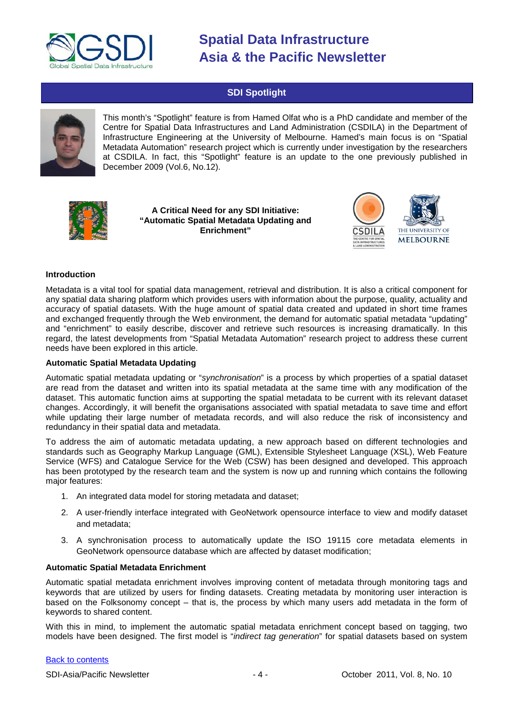

## **SDI Spotlight**

<span id="page-3-0"></span>

This month's "Spotlight" feature is from Hamed Olfat who is a PhD candidate and member of the Centre for Spatial Data Infrastructures and Land Administration (CSDILA) in the Department of Infrastructure Engineering at the University of Melbourne. Hamed's main focus is on "Spatial Metadata Automation" research project which is currently under investigation by the researchers at CSDILA. In fact, this "Spotlight" feature is an update to the one previously published in December 2009 (Vol.6, No.12).



**A Critical Need for any SDI Initiative: "Automatic Spatial Metadata Updating and Enrichment"**



# **Introduction**

Metadata is a vital tool for spatial data management, retrieval and distribution. It is also a critical component for any spatial data sharing platform which provides users with information about the purpose, quality, actuality and accuracy of spatial datasets. With the huge amount of spatial data created and updated in short time frames and exchanged frequently through the Web environment, the demand for automatic spatial metadata "updating" and "enrichment" to easily describe, discover and retrieve such resources is increasing dramatically. In this regard, the latest developments from "Spatial Metadata Automation" research project to address these current needs have been explored in this article.

#### **Automatic Spatial Metadata Updating**

Automatic spatial metadata updating or "*synchronisation*" is a process by which properties of a spatial dataset are read from the dataset and written into its spatial metadata at the same time with any modification of the dataset. This automatic function aims at supporting the spatial metadata to be current with its relevant dataset changes. Accordingly, it will benefit the organisations associated with spatial metadata to save time and effort while updating their large number of metadata records, and will also reduce the risk of inconsistency and redundancy in their spatial data and metadata.

To address the aim of automatic metadata updating, a new approach based on different technologies and standards such as Geography Markup Language (GML), Extensible Stylesheet Language (XSL), Web Feature Service (WFS) and Catalogue Service for the Web (CSW) has been designed and developed. This approach has been prototyped by the research team and the system is now up and running which contains the following major features:

- 1. An integrated data model for storing metadata and dataset;
- 2. A user-friendly interface integrated with GeoNetwork opensource interface to view and modify dataset and metadata;
- 3. A synchronisation process to automatically update the ISO 19115 core metadata elements in GeoNetwork opensource database which are affected by dataset modification;

#### **Automatic Spatial Metadata Enrichment**

Automatic spatial metadata enrichment involves improving content of metadata through monitoring tags and keywords that are utilized by users for finding datasets. Creating metadata by monitoring user interaction is based on the Folksonomy concept – that is, the process by which many users add metadata in the form of keywords to shared content.

With this in mind, to implement the automatic spatial metadata enrichment concept based on tagging, two models have been designed. The first model is "*indirect tag generation*" for spatial datasets based on system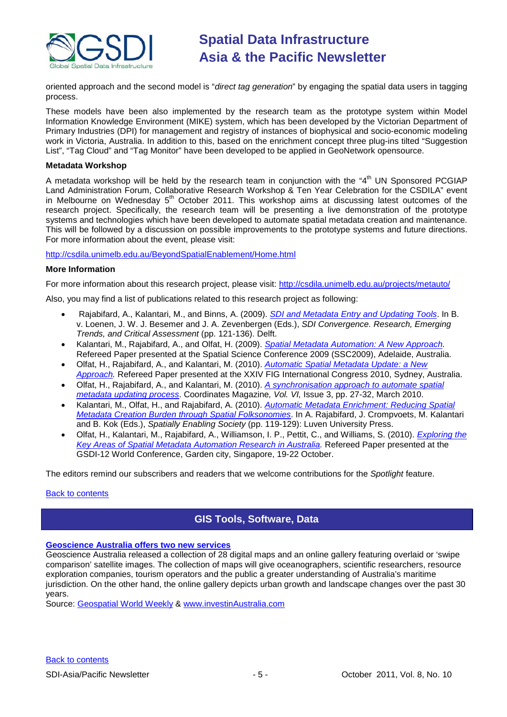

oriented approach and the second model is "*direct tag generation*" by engaging the spatial data users in tagging process.

These models have been also implemented by the research team as the prototype system within Model Information Knowledge Environment (MIKE) system, which has been developed by the Victorian Department of Primary Industries (DPI) for management and registry of instances of biophysical and socio-economic modeling work in Victoria, Australia. In addition to this, based on the enrichment concept three plug-ins tilted "Suggestion List", "Tag Cloud" and "Tag Monitor" have been developed to be applied in GeoNetwork opensource.

#### **Metadata Workshop**

A metadata workshop will be held by the research team in conjunction with the "4<sup>th</sup> UN Sponsored PCGIAP Land Administration Forum, Collaborative Research Workshop & Ten Year Celebration for the CSDILA" event in Melbourne on Wednesday  $5<sup>th</sup>$  October 2011. This workshop aims at discussing latest outcomes of the research project. Specifically, the research team will be presenting a live demonstration of the prototype systems and technologies which have been developed to automate spatial metadata creation and maintenance. This will be followed by a discussion on possible improvements to the prototype systems and future directions. For more information about the event, please visit:

<http://csdila.unimelb.edu.au/BeyondSpatialEnablement/Home.html>

#### **More Information**

For more information about this research project, please visit:<http://csdila.unimelb.edu.au/projects/metauto/>

Also, you may find a list of publications related to this research project as following:

- Rajabifard, A., Kalantari, M., and Binns, A. (2009). *[SDI and Metadata Entry and Updating Tools](http://www.csdila.unimelb.edu.au/publication/conferences/GSDI-11/SDIandMetadataEntryandUpdatingtool.pdf)*. In B. v. Loenen, J. W. J. Besemer and J. A. Zevenbergen (Eds.), *SDI Convergence. Research, Emerging Trends, and Critical Assessment* (pp. 121-136). Delft.
- Kalantari, M., Rajabifard, A., and Olfat, H. (2009). *[Spatial Metadata Automation: A New Approach.](http://www.csdila.unimelb.edu.au/publication/conferences/Spatial_metadata_automation_A_new_Approach.pdf)* Refereed Paper presented at the Spatial Science Conference 2009 (SSC2009), Adelaide, Australia.
- Olfat, H., Rajabifard, A., and Kalantari, M. (2010). *[Automatic Spatial Metadata Update: a New](http://www.fig.net/pub/fig2010/papers/ts05b%5Cts05b_olfat_rajabifard_et_al_4079.pdf)  [Approach.](http://www.fig.net/pub/fig2010/papers/ts05b%5Cts05b_olfat_rajabifard_et_al_4079.pdf)* Refereed Paper presented at the XXIV FIG International Congress 2010, Sydney, Australia.
- Olfat, H., Rajabifard, A., and Kalantari, M. (2010). *[A synchronisation approach to automate spatial](http://mycoordinates.org/a-synchronisation-approach-to-automate-spatial-metadata-updating-process/)  [metadata updating process](http://mycoordinates.org/a-synchronisation-approach-to-automate-spatial-metadata-updating-process/)*. Coordinates Magazine*, Vol. VI,* Issue 3, pp. 27-32, March 2010.
- Kalantari, M., Olfat, H., and Rajabifard, A. (2010). *[Automatic Metadata Enrichment: Reducing Spatial](http://www.gsdi.org/gsdiconf/gsdi12/papers/23.pdf)  [Metadata Creation Burden through Spatial Folksonomies](http://www.gsdi.org/gsdiconf/gsdi12/papers/23.pdf)*. In A. Rajabifard, J. Crompvoets, M. Kalantari and B. Kok (Eds.), *Spatially Enabling Society* (pp. 119-129): Luven University Press.
- Olfat, H., Kalantari, M., Rajabifard, A., Williamson, I. P., Pettit, C., and Williams, S. (2010). *[Exploring the](http://www.gsdi.org/gsdiconf/gsdi12/papers/72.pdf)  [Key Areas of Spatial Metadata Automation Research in Australia.](http://www.gsdi.org/gsdiconf/gsdi12/papers/72.pdf)* Refereed Paper presented at the GSDI-12 World Conference, Garden city, Singapore, 19-22 October.

The editors remind our subscribers and readers that we welcome contributions for the *Spotlight* feature.

#### <span id="page-4-0"></span>[Back to contents](#page-0-0)

# **GIS Tools, Software, Data**

#### **[Geoscience Australia offers two new services](http://www.investinaustralia.com/news/geoscience-australia-releases-new-satellite-image-gallery-and-digital-maps-34b5)**

Geoscience Australia released a collection of 28 digital maps and an online gallery featuring overlaid or 'swipe comparison' satellite images. The collection of maps will give oceanographers, scientific researchers, resource exploration companies, tourism operators and the public a greater understanding of Australia's maritime jurisdiction. On the other hand, the online gallery depicts urban growth and landscape changes over the past 30 years.

Source: [Geospatial World Weekly](http://geospatialworld.net/index.php?option=com_content&view=article&id=23075%3Ageoscience-australia-offers-two-new-services&catid=42%3Aproduct-gis&Itemid=1) & [www.investinAustralia.com](http://www.investinaustralia.com/)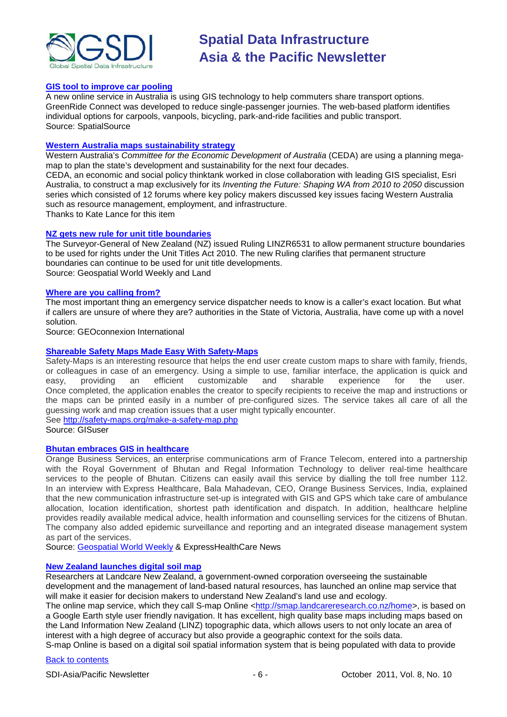

#### **[GIS tool to improve car pooling](http://www.spatialsource.com.au/2010/09/07/article/GIS-tool-to-improve-car-pooling/PPQFJCUTAP.html)**

A new online service in Australia is using GIS technology to help commuters share transport options. GreenRide Connect was developed to reduce single-passenger journies. The web-based platform identifies individual options for carpools, vanpools, bicycling, park-and-ride facilities and public transport. Source: SpatialSource

#### **[Western Australia maps sustainability strategy](http://www.futuregov.asia/articles/2011/sep/01/western-australia-uses-planning-mega-map-long-term/)**

Western Australia's *Committee for the Economic Development of Australia* (CEDA) are using a planning megamap to plan the state's development and sustainability for the next four decades.

CEDA, an economic and social policy thinktank worked in close collaboration with leading GIS specialist, Esri Australia, to construct a map exclusively for its *Inventing the Future: Shaping WA from 2010 to 2050* discussion series which consisted of 12 forums where key policy makers discussed key issues facing Western Australia such as resource management, employment, and infrastructure. Thanks to Kate Lance for this item

## **NZ gets new rule for unit title boundaries**

The Surveyor-General of New Zealand (NZ) issued Ruling LINZR6531 to allow permanent structure boundaries to be used for rights under the Unit Titles Act 2010. The new Ruling clarifies that permanent structure boundaries can continue to be used for unit title developments. Source: Geospatial World Weekly and Land

#### **[Where are you calling from?](http://www.geoconnexion.com/uploads/WhereAreYouCaller_intv10i8.pdf)**

The most important thing an emergency service dispatcher needs to know is a caller's exact location. But what if callers are unsure of where they are? authorities in the State of Victoria, Australia, have come up with a novel solution.

Source: GEOconnexion International

#### **[Shareable Safety Maps Made Easy With Safety-Maps](http://www.gisuser.com/content/view/24500/222/)**

Safety-Maps is an interesting resource that helps the end user create custom maps to share with family, friends, or colleagues in case of an emergency. Using a simple to use, familiar interface, the application is quick and<br>easy, providing an efficient customizable and sharable experience for the user. easy, providing an efficient customizable and sharable experience for the user. Once completed, the application enables the creator to specify recipients to receive the map and instructions or the maps can be printed easily in a number of pre-configured sizes. The service takes all care of all the guessing work and map creation issues that a user might typically encounter. See <http://safety-maps.org/make-a-safety-map.php>

Source: GISuser

#### **[Bhutan embraces GIS in healthcare](http://www.expresshealthcare.in/201109/itathealthcare02.shtml)**

Orange Business Services, an enterprise communications arm of France Telecom, entered into a partnership with the Royal Government of Bhutan and Regal Information Technology to deliver real-time healthcare services to the people of Bhutan. Citizens can easily avail this service by dialling the toll free number 112. In an interview with Express Healthcare, Bala Mahadevan, CEO, Orange Business Services, India, explained that the new communication infrastructure set-up is integrated with GIS and GPS which take care of ambulance allocation, location identification, shortest path identification and dispatch. In addition, healthcare helpline provides readily available medical advice, health information and counselling services for the citizens of Bhutan. The company also added epidemic surveillance and reporting and an integrated disease management system as part of the services.

Source: [Geospatial World Weekly](http://geospatialworld.net/index.php?option=com_content&view=article&id=23074%3Abhutan-embraces-gis-in-healthcare&catid=56%3Aapplication-health&Itemid=1) & ExpressHealthCare News

#### **[New Zealand launches digital soil map](http://www.futuregov.asia/articles/2011/sep/13/nz-launches-digital-soil-map/)**

Researchers at Landcare New Zealand, a government-owned corporation overseeing the sustainable development and the management of land-based natural resources, has launched an online map service that will make it easier for decision makers to understand New Zealand's land use and ecology.

The online map service, which they call S-map Online [<http://smap.landcareresearch.co.nz/home>](http://smap.landcareresearch.co.nz/home), is based on a Google Earth style user friendly navigation. It has excellent, high quality base maps including maps based on the Land Information New Zealand (LINZ) topographic data, which allows users to not only locate an area of interest with a high degree of accuracy but also provide a geographic context for the soils data.

S-map Online is based on a digital soil spatial information system that is being populated with data to provide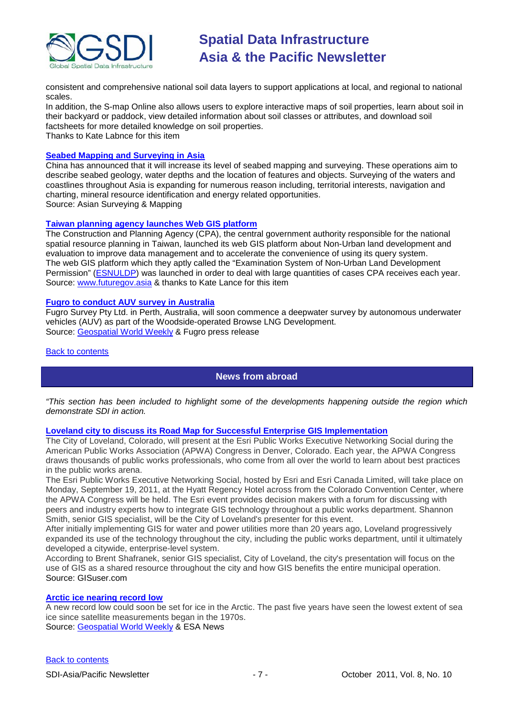

consistent and comprehensive national soil data layers to support applications at local, and regional to national scales.

In addition, the S-map Online also allows users to explore interactive maps of soil properties, learn about soil in their backyard or paddock, view detailed information about soil classes or attributes, and download soil factsheets for more detailed knowledge on soil properties.

Thanks to Kate Labnce for this item

#### **[Seabed Mapping and Surveying in Asia](http://www.asmmag.com/201109152193/seabed-mapping-and-surveying-in-asia.html)**

China has announced that it will increase its level of seabed mapping and surveying. These operations aim to describe seabed geology, water depths and the location of features and objects. Surveying of the waters and coastlines throughout Asia is expanding for numerous reason including, territorial interests, navigation and charting, mineral resource identification and energy related opportunities. Source: Asian Surveying & Mapping

#### **[Taiwan planning agency launches Web GIS platform](http://www.futuregov.asia/articles/2011/sep/07/taiwan-agency-launches-web-gis-platform-improved-d/)**

The Construction and Planning Agency (CPA), the central government authority responsible for the national spatial resource planning in Taiwan, launched its web GIS platform about Non-Urban land development and evaluation to improve data management and to accelerate the convenience of using its query system. The web GIS platform which they aptly called the "Examination System of Non-Urban Land Development Permission" [\(ESNULDP\)](http://gisapsrv02.cpami.gov.tw/ncpublic/) was launched in order to deal with large quantities of cases CPA receives each year. Source: [www.futuregov.asia](http://www.futuregov.asia/) & thanks to Kate Lance for this item

#### **[Fugro to conduct AUV survey in Australia](http://www.fugro.com/news/newsdetails.asp?item=554)**

Fugro Survey Pty Ltd. in Perth, Australia, will soon commence a deepwater survey by autonomous underwater vehicles (AUV) as part of the Woodside-operated Browse LNG Development. Source: [Geospatial World Weekly](http://geospatialworld.net/index.php?option=com_content&view=article&id=23112%3Afugro-to-conduct-auv-survey-in-australia&catid=47%3Aproduct-surveying-mapping&Itemid=1) & Fugro press release

<span id="page-6-0"></span>[Back to contents](#page-0-0)

### **News from abroad**

*"This section has been included to highlight some of the developments happening outside the region which demonstrate SDI in action.*

#### **[Loveland city to discuss its Road Map for Successful Enterprise GIS Implementation](http://www.gisuser.com/content/view/24369/2/)**

The City of Loveland, Colorado, will present at the Esri Public Works Executive Networking Social during the American Public Works Association (APWA) Congress in Denver, Colorado. Each year, the APWA Congress draws thousands of public works professionals, who come from all over the world to learn about best practices in the public works arena.

The Esri Public Works Executive Networking Social, hosted by Esri and Esri Canada Limited, will take place on Monday, September 19, 2011, at the Hyatt Regency Hotel across from the Colorado Convention Center, where the APWA Congress will be held. The Esri event provides decision makers with a forum for discussing with peers and industry experts how to integrate GIS technology throughout a public works department. Shannon Smith, senior GIS specialist, will be the City of Loveland's presenter for this event.

After initially implementing GIS for water and power utilities more than 20 years ago, Loveland progressively expanded its use of the technology throughout the city, including the public works department, until it ultimately developed a citywide, enterprise-level system.

According to Brent Shafranek, senior GIS specialist, City of Loveland, the city's presentation will focus on the use of GIS as a shared resource throughout the city and how GIS benefits the entire municipal operation. Source: GISuser.com

#### **[Arctic ice nearing record low](http://www.esa.int/esaCP/SEMPQF0UDSG_index_0.html)**

A new record low could soon be set for ice in the Arctic. The past five years have seen the lowest extent of sea ice since satellite measurements began in the 1970s. Source: [Geospatial World Weekly](http://geospatialworld.net/index.php?option=com_content&view=article&id=23102%3Aarctic-ice-nearing-record-low&catid=59%3Aapplication-geology&Itemid=1) & ESA News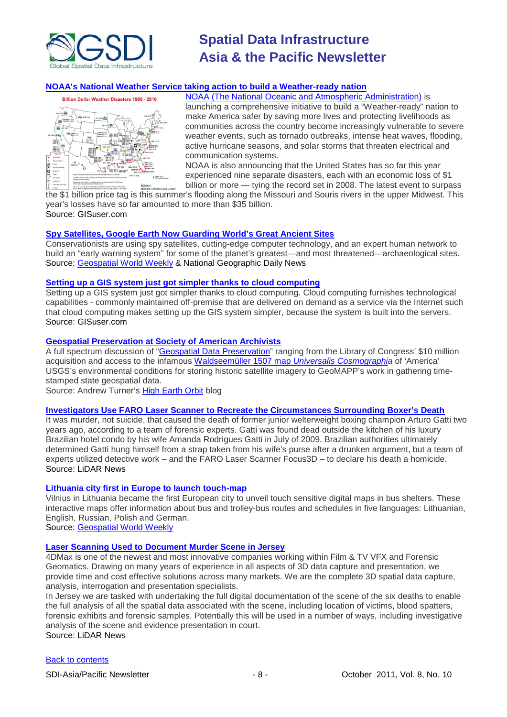

#### **[NOAA's National Weather Service taking action to build a Weather-ready nation](http://www.gisuser.com/content/view/24387/2/)**



[NOAA \(The National Oceanic and Atmospheric Administration\)](http://www.noaa.gov/) is launching a comprehensive initiative to build a "Weather-ready" nation to make America safer by saving more lives and protecting livelihoods as communities across the country become increasingly vulnerable to severe weather events, such as tornado outbreaks, intense heat waves, flooding, active hurricane seasons, and solar storms that threaten electrical and communication systems.

NOAA is also announcing that the United States has so far this year experienced [nine separate disasters,](http://www.ncdc.noaa.gov/oa/reports/billionz.html) each with an economic loss of \$1 billion or more — tying the record set in 2008. The latest event to surpass

the \$1 billion price tag is this summer's flooding along the Missouri and Souris rivers in the upper Midwest. This year's losses have so far amounted to more than \$35 billion. Source: GISuser.com

#### **[Spy Satellites, Google Earth Now Guarding World's Great Ancient Sites](http://newswatch.nationalgeographic.com/2011/09/09/spy-satellites-google-earth-now-guarding-world%e2%80%99s-great-ancient-sites/)**

Conservationists are using spy satellites, cutting-edge computer technology, and an expert human network to build an "early warning system" for some of the planet's greatest—and most threatened—archaeological sites. Source: [Geospatial World Weekly](http://www.geospatialworld.net/newsletter/weekly_newsletter/sep1911.htm) & National Geographic Daily News

#### **[Setting up a GIS system just got simpler thanks to cloud computing](http://www.gisuser.com/content/view/24441/2/)**

Setting up a GIS system just got simpler thanks to cloud computing. Cloud computing furnishes technological capabilities - commonly maintained off-premise that are delivered on demand as a service via the Internet such that cloud computing makes setting up the GIS system simpler, because the system is built into the servers. Source: GISuser.com

#### **[Geospatial Preservation at Society of American Archivists](http://highearthorbit.com/geospatial-preservation-at-society-of-american-archivists/)**

A full spectrum discussion of ["Geospatial Data Preservation"](http://saa.archivists.org/Scripts/4Disapi.dll/4DCGI/events/eventdetail.html?Action=Events_Detail&Time=-784681258&InvID_W=1860) ranging from the Library of Congress' \$10 million acquisition and access to the infamous [Waldseemüller 1507 map](http://en.wikipedia.org/wiki/Waldseem%C3%BCller_map) *Universalis Cosmographia* of 'America' USGS's environmental conditions for storing historic satellite imagery to GeoMAPP's work in gathering timestamped state geospatial data.

Source: Andrew Turner's [High Earth Orbit](http://highearthorbit.com/) blog

#### **[Investigators Use FARO Laser Scanner to Recreate the Circumstances Surrounding Boxer's Death](http://www.lidarnews.com/content/view/8567/)**

It was murder, not suicide, that caused the death of former junior welterweight boxing champion Arturo Gatti two years ago, according to a team of forensic experts. Gatti was found dead outside the kitchen of his luxury Brazilian hotel condo by his wife Amanda Rodrigues Gatti in July of 2009. Brazilian authorities ultimately determined Gatti hung himself from a strap taken from his wife's purse after a drunken argument, but a team of experts utilized detective work – and the FARO Laser Scanner Focus3D – to declare his death a homicide. Source: LiDAR News

#### **Lithuania city first in Europe to launch touch-map**

Vilnius in Lithuania became the first European city to unveil touch sensitive digital maps in bus shelters. These interactive maps offer information about bus and trolley-bus routes and schedules in five languages: Lithuanian, English, Russian, Polish and German.

Source: [Geospatial World Weekly](http://geospatialworld.net/index.php?option=com_content&view=article&id=23043%3Alithuania-city-first-in-europe-to-launch-touch-map&catid=48%3Aproduct-cartography-map-publishing&Itemid=1)

#### **[Laser Scanning Used to Document Murder Scene in Jersey](http://www.lidarnews.com/content/view/8542/)**

4DMax is one of the newest and most innovative [companies](http://www.4dmax.co.uk/) working within Film & TV VFX and Forensic Geomatics. Drawing on many years of experience in all aspects of 3D data capture and presentation, we provide time and cost effective solutions across many markets. We are the complete 3D spatial data capture, analysis, interrogation and presentation specialists.

In Jersey we are tasked with undertaking the full digital documentation of the [scene](http://www.thisisjersey.com/2011/08/24/lasers-map-out-murder-scene-at-victoria-crescent/) of the six deaths to enable the full analysis of all the spatial data associated with the scene, including location of victims, blood spatters, forensic exhibits and forensic samples. Potentially this will be used in a number of ways, including investigative analysis of the scene and evidence presentation in court. Source: LiDAR News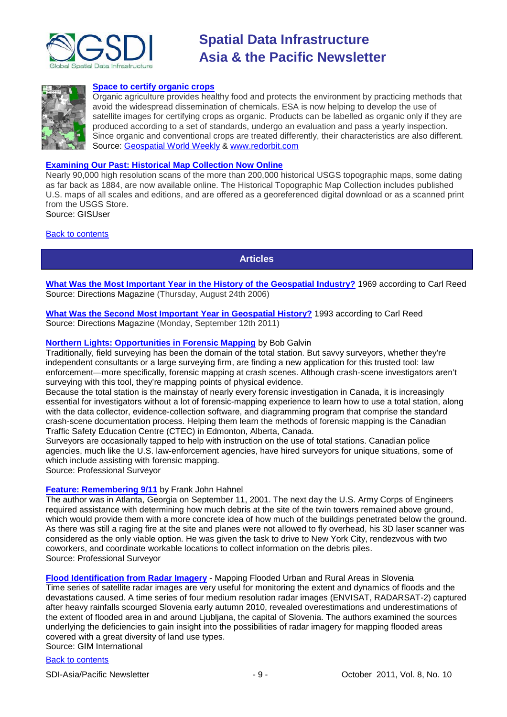



#### **[Space to certify organic crops](http://www.redorbit.com/news/space/1112385075/certifying-organic-crops-from-space)**

Organic agriculture provides healthy food and protects the environment by practicing methods that avoid the widespread dissemination of chemicals. ESA is now helping to develop the use of satellite images for certifying crops as organic. Products can be labelled as organic only if they are produced according to a set of standards, undergo an evaluation and pass a yearly inspection. Since organic and conventional crops are treated differently, their characteristics are also different. Source: [Geospatial World Weekly](http://geospatialworld.net/index.php?option=com_content&view=article&id=23099%3Aspace-to-certify-organic-crops-&catid=51%3Aapplication-agriculture&Itemid=1) & [www.redorbit.com](http://www.redorbit.com/)

#### **[Examining Our Past: Historical Map Collection Now Online](http://www.gisuser.com/content/view/24445/2/)**

Nearly 90,000 high resolution scans of the more than 200,000 historical USGS topographic maps, some dating as far back as 1884, are now available online. The Historical Topographic Map Collection includes published U.S. maps of all scales and editions, and are offered as a georeferenced digital download or as a scanned print from the USGS Store. Source: GISUser

#### <span id="page-8-0"></span>[Back to contents](#page-0-0)

**Articles**

**[What Was the Most Important Year in the History of the Geospatial Industry?](http://www.directionsmag.com/articles/what-was-the-most-important-year-in-the-history-of-the-geospatial-industry/123059)** 1969 according to Carl Reed Source: Directions Magazine (Thursday, August 24th 2006)

**[What Was the Second Most Important Year in Geospatial](http://www.directionsmag.com/articles/what-was-the-second-most-important-year-in-geospatial/197870) History?** 1993 according to Carl Reed Source: Directions Magazine (Monday, September 12th 2011)

#### **[Northern Lights: Opportunities in Forensic Mapping](http://www.profsurv.com/magazine/article.aspx?i=70993)** by Bob Galvin

Traditionally, field surveying has been the domain of the total station. But savvy surveyors, whether they're independent consultants or a large surveying firm, are finding a new application for this trusted tool: law enforcement—more specifically, forensic mapping at crash scenes. Although crash-scene investigators aren't surveying with this tool, they're mapping points of physical evidence.

Because the total station is the mainstay of nearly every forensic investigation in Canada, it is increasingly essential for investigators without a lot of forensic-mapping experience to learn how to use a total station, along with the data collector, evidence-collection software, and diagramming program that comprise the standard crash-scene documentation process. Helping them learn the methods of forensic mapping is the [Canadian](http://www.ctec.ca/)  [Traffic Safety Education Centre](http://www.ctec.ca/) (CTEC) in Edmonton, Alberta, Canada.

Surveyors are occasionally tapped to help with instruction on the use of total stations. Canadian police agencies, much like the U.S. law-enforcement agencies, have hired surveyors for unique situations, some of which include assisting with forensic mapping. Source: Professional Surveyor

#### **[Feature: Remembering 9/11](http://www.profsurv.com/magazine/article.aspx?i=70986)** by Frank John Hahnel

The author was in Atlanta, Georgia on September 11, 2001. The next day the U.S. Army Corps of Engineers required assistance with determining how much debris at the site of the twin towers remained above ground, which would provide them with a more concrete idea of how much of the buildings penetrated below the ground. As there was still a raging fire at the site and planes were not allowed to fly overhead, his 3D laser scanner was considered as the only viable option. He was given the task to drive to New York City, rendezvous with two coworkers, and coordinate workable locations to collect information on the debris piles. Source: Professional Surveyor

**[Flood Identification from Radar Imagery](http://www.gim-international.com/issues/articles/id1769-Flood_Identification_from_Radar_Imagery.html)** - Mapping Flooded Urban and Rural Areas in Slovenia Time series of satellite radar images are very useful for monitoring the extent and dynamics of floods and the devastations caused. A time series of four medium resolution radar images (ENVISAT, RADARSAT-2) captured after heavy rainfalls scourged Slovenia early autumn 2010, revealed overestimations and underestimations of the extent of flooded area in and around Ljubljana, the capital of Slovenia. The authors examined the sources underlying the deficiencies to gain insight into the possibilities of radar imagery for mapping flooded areas covered with a great diversity of land use types. Source: GIM International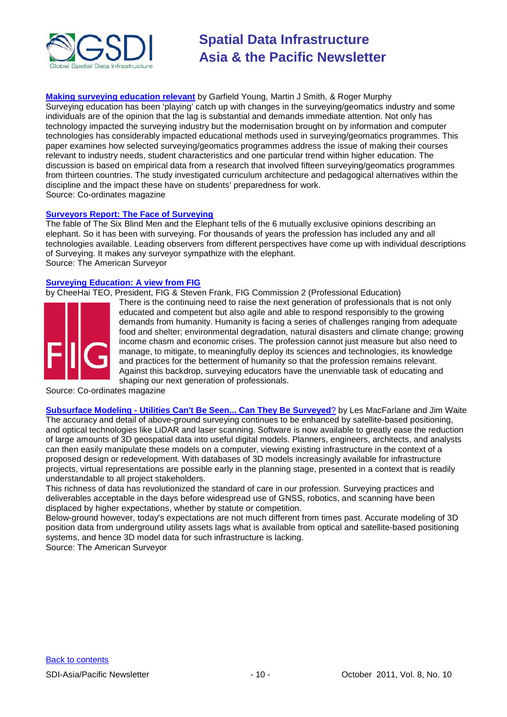

**[Making surveying education relevant](http://mycoordinates.org/making-surveying-education-relevant/)** by Garfield Young, Martin J Smith, & Roger Murphy Surveying education has been 'playing' catch up with changes in the surveying/geomatics industry and some individuals are of the opinion that the lag is substantial and demands immediate attention. Not only has technology impacted the surveying industry but the modernisation brought on by information and computer technologies has considerably impacted educational methods used in surveying/geomatics programmes. This paper examines how selected surveying/geomatics programmes address the issue of making their courses relevant to industry needs, student characteristics and one particular trend within higher education. The discussion is based on empirical data from a research that involved fifteen surveying/geomatics programmes from thirteen countries. The study investigated curriculum architecture and pedagogical alternatives within the discipline and the impact these have on students' preparedness for work. Source: Co-ordinates magazine

#### **[Surveyors Report: The Face of Surveying](http://www.amerisurv.com/content/view/9013/153/)**

The fable of The Six Blind Men and the Elephant tells of the 6 mutually exclusive opinions describing an elephant. So it has been with surveying. For thousands of years the profession has included any and all technologies available. Leading observers from different perspectives have come up with individual descriptions of Surveying. It makes any surveyor sympathize with the elephant. Source: The American Surveyor

#### **[Surveying Education: A view from FIG](http://mycoordinates.org/surveying-education-a-view-from-fig/)**

by CheeHai TEO, President, FIG & Steven Frank, FIG Commission 2 (Professional Education)



There is the continuing need to raise the next generation of professionals that is not only educated and competent but also agile and able to respond responsibly to the growing demands from humanity. Humanity is facing a series of challenges ranging from adequate food and shelter; environmental degradation, natural disasters and climate change; growing income chasm and economic crises. The profession cannot just measure but also need to manage, to mitigate, to meaningfully deploy its sciences and technologies, its knowledge and practices for the betterment of humanity so that the profession remains relevant. Against this backdrop, surveying educators have the unenviable task of educating and shaping our next generation of professionals.

Source: Co-ordinates magazine

**Subsurface Modeling - [Utilities Can't Be Seen... Can They Be Surveyed](http://www.amerisurv.com/content/view/8871/153/)**? by Les MacFarlane and Jim Waite The accuracy and detail of above-ground surveying continues to be enhanced by satellite-based positioning, and optical technologies like LiDAR and laser scanning. Software is now available to greatly ease the reduction of large amounts of 3D geospatial data into useful digital models. Planners, engineers, architects, and analysts can then easily manipulate these models on a computer, viewing existing infrastructure in the context of a proposed design or redevelopment. With databases of 3D models increasingly available for infrastructure projects, virtual representations are possible early in the planning stage, presented in a context that is readily understandable to all project stakeholders.

This richness of data has revolutionized the standard of care in our profession. Surveying practices and deliverables acceptable in the days before widespread use of GNSS, robotics, and scanning have been displaced by higher expectations, whether by statute or competition.

Below-ground however, today's expectations are not much different from times past. Accurate modeling of 3D position data from underground utility assets lags what is available from optical and satellite-based positioning systems, and hence 3D model data for such infrastructure is lacking.

Source: The American Surveyor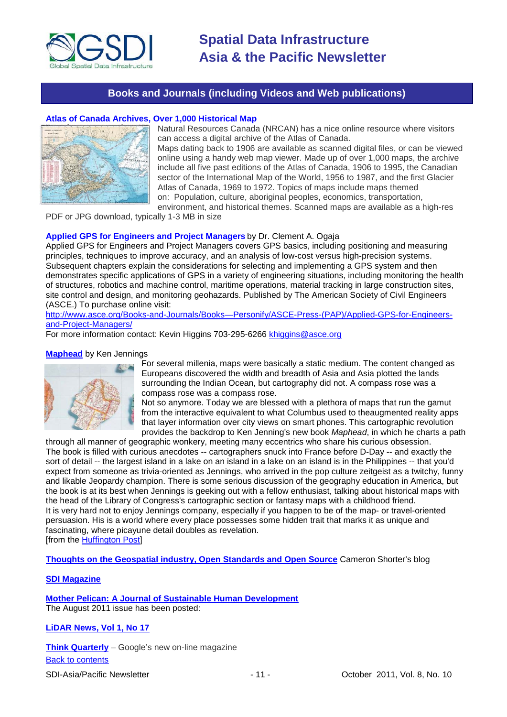

### **Books and Journals (including Videos and Web publications)**

#### <span id="page-10-0"></span>**Atlas of Canada Archives, Over 1,000 Historical Map**



Natural Resources Canada (NRCAN) has a nice online resource where visitors can access a digital archive of the Atlas of Canada.

Maps dating back to 1906 are available as scanned digital files, or can be viewed online using a handy web map viewer. Made up of over 1,000 maps, the archive include all five past editions of the Atlas of Canada, 1906 to 1995, the Canadian sector of the International Map of the World, 1956 to 1987, and the first Glacier Atlas of Canada, 1969 to 1972. Topics of maps include maps themed on: Population, culture, aboriginal peoples, economics, transportation,

environment, and historical themes. Scanned maps are available as a high-res PDF or JPG download, typically 1-3 MB in size

#### **Applied GPS for Engineers and Project Managers** by Dr. Clement A. Ogaja

Applied GPS for Engineers and Project Managers covers GPS basics, including positioning and measuring principles, techniques to improve accuracy, and an analysis of low-cost versus high-precision systems. Subsequent chapters explain the considerations for selecting and implementing a GPS system and then demonstrates specific applications of GPS in a variety of engineering situations, including monitoring the health of structures, robotics and machine control, maritime operations, material tracking in large construction sites, site control and design, and monitoring geohazards. Published by The American Society of Civil Engineers (ASCE.) To purchase online visit:

[http://www.asce.org/Books-and-Journals/Books—Personify/ASCE-Press-\(PAP\)/Applied-GPS-for-Engineers](http://www.asce.org/Books-and-Journals/Books---Personify/ASCE-Press-%28PAP%29/Applied-GPS-for-Engineers-and-Project-Managers/)[and-Project-Managers/](http://www.asce.org/Books-and-Journals/Books---Personify/ASCE-Press-%28PAP%29/Applied-GPS-for-Engineers-and-Project-Managers/)

For more information contact: Kevin Higgins 703-295-6266 [khiggins@asce.org](mailto:khiggins@asce.org)

#### **[Maphead](http://www.amazon.com/Maphead-Charting-Weird-World-Geography/dp/1439167176)** by Ken Jennings



For several millenia, maps were basically a static medium. The content changed as Europeans discovered the width and breadth of Asia and Asia plotted the lands surrounding the Indian Ocean, but cartography did not. A compass rose was a compass rose was a compass rose.

Not so anymore. Today we are blessed with a plethora of maps that run the gamut from [the interactive equivalent to what Columbus used](http://www.mapquest.com/) to th[eaugmented reality apps](http://hrtapps.com/theodolite/)  [that layer information over city views](http://hrtapps.com/theodolite/) on smart phones. This cartographic revolution provides the backdrop to Ken Jenning's new book *Maphead*, in which he charts a path

through all manner of geographic wonkery, meeting many eccentrics who share his curious obsession. The book is filled with curious anecdotes -- cartographers snuck into France before D-Day -- and exactly the sort of detail -- the largest island in a lake on an island in a lake on an island is in the Philippines -- that you'd expect from someone as trivia-oriented as Jennings, who arrived in the pop culture zeitgeist as a twitchy, funny and likable Jeopardy champion. There is some serious discussion of the geography education in America, but the book is at its best when Jennings is geeking out with a fellow enthusiast, talking about historical maps with the head of the Library of Congress's cartographic section or fantasy maps with a childhood friend. It is very hard not to enjoy Jennings company, especially if you happen to be of the map- or travel-oriented persuasion. His is a world where every place possesses some hidden trait that marks it as unique and fascinating, where picayune detail doubles as revelation. [from the [Huffington Post\]](http://www.huffingtonpost.com/2011/09/21/ken-jennings-discusses-ma_n_973395.html)

**[Thoughts on the Geospatial industry, Open Standards and Open Source](http://cameronshorter.blogspot.com/2011/06/memoirs-of-cat-herder-coordinating.html)** Cameron Shorter's blog

#### **[SDI Magazine](http://www.sdimag.com/)**

**[Mother Pelican: A Journal of Sustainable Human Development](http://www.pelicanweb.org/solisustv07n08page1.html)** The August 2011 issue has been posted:

#### **[LiDAR News, Vol 1, No 17](http://www.lidarnews.com/newsletter/Vol1No17.htm)**

[Back to contents](#page-0-0) **[Think Quarterly](http://thinkquarterly.co.uk/#aboutthebook)** – Google's new on-line magazine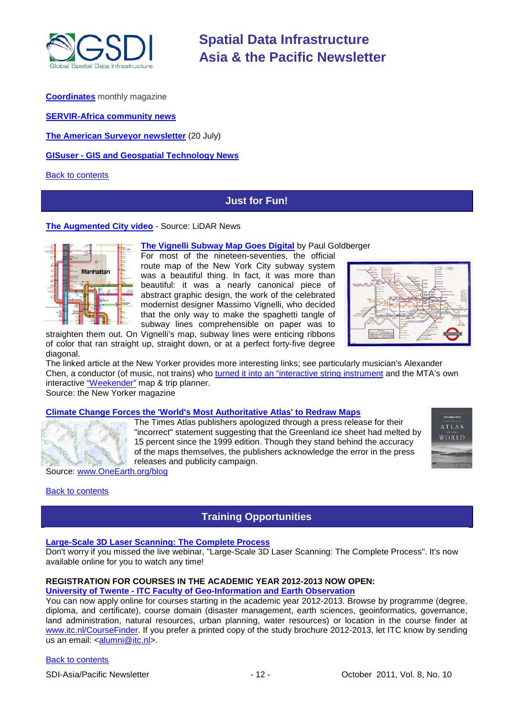

**[Coordinates](http://mycoordinates.org/pdf/june11.pdf)** monthly magazine

**[SERVIR-Africa community news](http://www.servirglobal.net/africa/en/News/CommunityNews.aspx)**

**[The American Surveyor newsletter](http://www.amerisurv.com/newsletter/20JUL2011.htm)** (20 July)

**GISuser - [GIS and Geospatial Technology News](http://www.gisuser.com/)**

<span id="page-11-0"></span>[Back to contents](#page-0-0)

## **Just for Fun!**

<span id="page-11-1"></span>**[The Augmented City video](http://www.lidarnews.com/content/view/8574/192/)** - Source: LiDAR News



#### **[The Vignelli Subway Map Goes Digital](http://www.newyorker.com/online/blogs/newsdesk/2011/09/vignelli-subway-map-mta.html)** by Paul Goldberger

For most of the nineteen-seventies, the official route map of the New York City subway system was a beautiful thing. In fact, it was more than beautiful: it was a nearly canonical piece of abstract graphic design, the work of the celebrated modernist designer Massimo Vignelli, who decided that the only way to make the spaghetti tangle of subway lines comprehensible on paper was to

straighten them out. On Vignelli's map, subway lines were enticing ribbons of color that ran straight up, straight down, or at a perfect forty-five degree diagonal.



The linked article at the New Yorker provides more interesting links; see particularly musician's Alexander Chen, a conductor (of music, not trains) who [turned it into an "interactive string instrument](http://vimeo.com/19372180) and the MTA's own interactive ["Weekender"](http://www.mta.info/weekender/) map & trip planner.

Source: the New Yorker magazine

#### **[Climate Change Forces the 'World's Most Authoritative Atlas' to Redraw Maps](http://www.onearth.org/blog/times-atlas-maps-climate-change)**



The Times Atlas publishers apologized through a press release for their "incorrect" statement suggesting that the Greenland ice sheet had melted by 15 percent since the 1999 edition. Though they stand behind the accuracy of the maps themselves, the publishers acknowledge the error in the press releases and publicity campaign.



Source: [www.OneEarth.org/blog](http://www.oneearth.org/blog)

[Back to contents](#page-0-0)

# **Training Opportunities**

#### **[Large-Scale 3D Laser Scanning: The Complete Process](http://www.faro.com/site/resources/details/1373?CampaignId=70170000000bbwr)**

Don't worry if you missed the live webinar, "Large-Scale 3D Laser Scanning: The Complete Process". It's now available online for you to watch any time!

### **REGISTRATION FOR COURSES IN THE ACADEMIC YEAR 2012-2013 NOW OPEN:**

**University of Twente - ITC Faculty of Geo-Information and Earth Observation**

You can now apply online for courses starting in the academic year 2012-2013. Browse by programme (degree, diploma, and certificate), course domain (disaster management, earth sciences, geoinformatics, governance, land administration, natural resources, urban planning, water resources) or location in the course finder at [www.itc.nl/CourseFinder.](http://www.itc.nl/CourseFinder) If you prefer a printed copy of the study brochure 2012-2013, let ITC know by sending us an email: [<alumni@itc.nl>](mailto:alumni@itc.nl).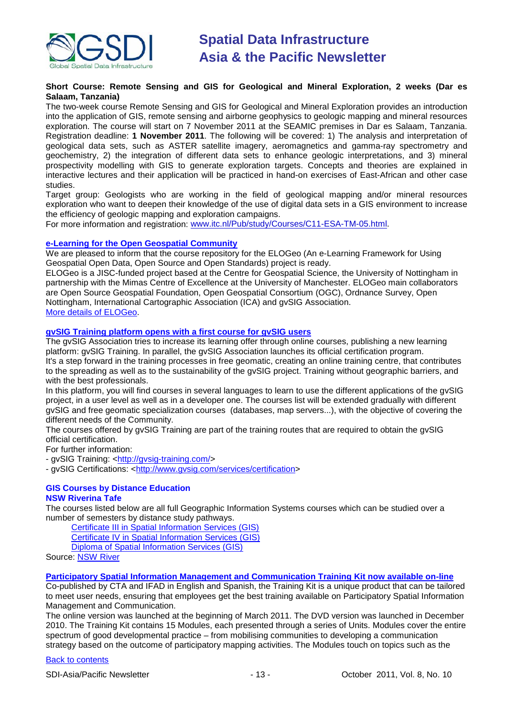

#### **Short Course: Remote Sensing and GIS for Geological and Mineral Exploration, 2 weeks (Dar es Salaam, Tanzania)**

The two-week course Remote Sensing and GIS for Geological and Mineral Exploration provides an introduction into the application of GIS, remote sensing and airborne geophysics to geologic mapping and mineral resources exploration. The course will start on 7 November 2011 at the SEAMIC premises in Dar es Salaam, Tanzania. Registration deadline: **1 November 2011**. The following will be covered: 1) The analysis and interpretation of geological data sets, such as ASTER satellite imagery, aeromagnetics and gamma-ray spectrometry and geochemistry, 2) the integration of different data sets to enhance geologic interpretations, and 3) mineral prospectivity modelling with GIS to generate exploration targets. Concepts and theories are explained in interactive lectures and their application will be practiced in hand-on exercises of East-African and other case studies.

Target group: Geologists who are working in the field of geological mapping and/or mineral resources exploration who want to deepen their knowledge of the use of digital data sets in a GIS environment to increase the efficiency of geologic mapping and exploration campaigns.

For more information and registration: [www.itc.nl/Pub/study/Courses/C11-ESA-TM-05.html.](http://www.itc.nl/Pub/study/Courses/C11-ESA-TM-05.html)

#### **[e-Learning for the Open Geospatial Community](http://elogeo.nottingham.ac.uk/xmlui)**

We are pleased to inform that the course repository for the ELOGeo (An e-Learning Framework for Using Geospatial Open Data, Open Source and Open Standards) project is ready.

ELOGeo is a JISC-funded project based at the Centre for Geospatial Science, the University of Nottingham in partnership with the Mimas Centre of Excellence at the University of Manchester. ELOGeo main collaborators are Open Source Geospatial Foundation, Open Geospatial Consortium (OGC), Ordnance Survey, Open Nottingham, International Cartographic Association (ICA) and gvSIG Association. [More details of ELOGeo.](http://elogeo.nottingham.ac.uk/index.html)

### **gvSIG Training platform opens with a first course for gvSIG users**

The gvSIG Association tries to increase its learning offer through online courses, publishing a new learning platform: gvSIG Training. In parallel, the gvSIG Association launches its official certification program. It's a step forward in the training processes in free geomatic, creating an online training centre, that contributes to the spreading as well as to the sustainability of the gvSIG project. Training without geographic barriers, and with the best professionals.

In this platform, you will find courses in several languages to learn to use the different applications of the gvSIG project, in a user level as well as in a developer one. The courses list will be extended gradually with different gvSIG and free geomatic specialization courses (databases, map servers...), with the objective of covering the different needs of the Community.

The courses offered by gvSIG Training are part of the training routes that are required to obtain the gvSIG official certification.

For further information:

- gvSIG Training: [<http://gvsig-training.com/>](http://gvsig-training.com/)

- gvSIG Certifications: [<http://www.gvsig.com/services/certification>](http://www.gvsig.com/services/certification)

# **GIS Courses by Distance Education**

### **NSW Riverina Tafe**

The courses listed below are all full Geographic Information Systems courses which can be studied over a number of semesters by distance study pathways.

[Certificate III in Spatial Information Services \(GIS\)](http://www.rit.tafensw.edu.au/nec/nrme/giscourses#Cert III in Spatial Information Services (CPP30109))

[Certificate IV in Spatial Information Services \(GIS\)](http://www.rit.tafensw.edu.au/nec/nrme/giscourses#Cert IV in Spatial Information Services (CPP40209))

[Diploma of Spatial Information Services \(GIS\)](http://www.rit.tafensw.edu.au/nec/nrme/giscourses#Diploma of Spatial Information Services (CPP50207))

Sourc[e: NSW River](http://www.rit.tafensw.edu.au/nec/nrme/giscourses)

#### **[Participatory Spatial Information Management and Communication Training Kit now available on-line](http://www.cta.int/en/About-us/CTA-news/Participatory-Spatial-Information-Management-and-Communication-Training-Kit-now-available-on-line)**

Co-published by CTA and IFAD in English and Spanish, the Training Kit is a unique product that can be tailored to meet user needs, ensuring that employees get the best training available on Participatory Spatial Information Management and Communication.

The [online version](http://pgis-tk.cta.int/) was launched at the beginning of March 2011. The DVD version was launched in December 2010. The Training Kit contains 15 Modules, each presented through a series of Units. Modules cover the entire spectrum of good developmental practice – from mobilising communities to developing a communication strategy based on the outcome of participatory mapping activities. The Modules touch on topics such as the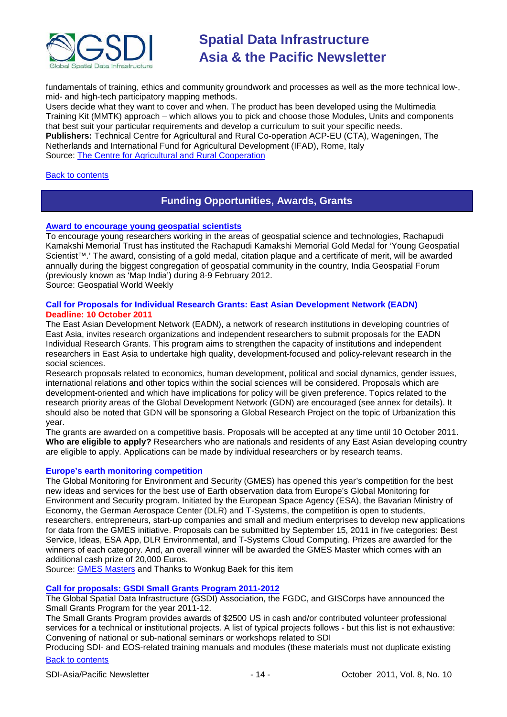

fundamentals of training, ethics and community groundwork and processes as well as the more technical low-, mid- and high-tech participatory mapping methods.

Users decide what they want to cover and when. The product has been developed using the Multimedia Training Kit (MMTK) approach – which allows you to pick and choose those Modules, Units and components that best suit your particular requirements and develop a curriculum to suit your specific needs. **Publishers:** Technical Centre for Agricultural and Rural Co-operation ACP-EU (CTA), Wageningen, The Netherlands and International Fund for Agricultural Development (IFAD), Rome, Italy Source: [The Centre for Agricultural and Rural Cooperation](http://www.cta.int/en/About-us/Who-we-are)

#### <span id="page-13-0"></span>[Back to contents](#page-0-0)

### **Funding Opportunities, Awards, Grants**

#### **[Award to encourage young geospatial scientists](http://geospatialworld.net/index.php?option=com_content&view=article&id=23094%3Aaward-to-encourage-young-geospatial-scientists-&catid=81%3Amiscellaneous-award&Itemid=1)**

To encourage young researchers working in the areas of geospatial science and technologies, Rachapudi Kamakshi Memorial Trust has instituted the Rachapudi Kamakshi Memorial Gold Medal for 'Young Geospatial Scientist™.' The award, consisting of a gold medal, citation plaque and a certificate of merit, will be awarded annually during the biggest congregation of geospatial community in the country, India Geospatial Forum (previously known as 'Map India') during 8-9 February 2012. Source: Geospatial World Weekly

#### **[Call for Proposals for Individual Research Grants: East Asian Development Network \(EADN\)](http://www.eadn.org/CallforProposals2011.pdf) Deadline: 10 October 2011**

The East Asian Development Network (EADN), a network of research institutions in developing countries of East Asia, invites research organizations and independent researchers to submit proposals for the EADN Individual Research Grants. This program aims to strengthen the capacity of institutions and independent researchers in East Asia to undertake high quality, development-focused and policy-relevant research in the social sciences.

Research proposals related to economics, human development, political and social dynamics, gender issues, international relations and other topics within the social sciences will be considered. Proposals which are development-oriented and which have implications for policy will be given preference. Topics related to the research priority areas of the Global Development Network (GDN) are encouraged (see annex for details). It should also be noted that GDN will be sponsoring a Global Research Project on the topic of Urbanization this year.

The grants are awarded on a competitive basis. Proposals will be accepted at any time until 10 October 2011. **Who are eligible to apply?** Researchers who are nationals and residents of any East Asian developing country are eligible to apply. Applications can be made by individual researchers or by research teams.

#### **Europe's earth monitoring competition**

The Global Monitoring for Environment and Security (GMES) has opened this year's competition for the best new ideas and services for the best use of Earth observation data from Europe's Global Monitoring for Environment and Security program. Initiated by the European Space Agency (ESA), the Bavarian Ministry of Economy, the German Aerospace Center (DLR) and T-Systems, the competition is open to students, researchers, entrepreneurs, start-up companies and small and medium enterprises to develop new applications for data from the GMES initiative. Proposals can be submitted by September 15, 2011 in five categories: Best Service, Ideas, ESA App, DLR Environmental, and T-Systems Cloud Computing. Prizes are awarded for the winners of each category. And, an overall winner will be awarded the GMES Master which comes with an additional cash prize of 20,000 Euros.

Source: [GMES Masters](http://www.gmes-masters.com/competition) and Thanks to Wonkug Baek for this item

#### **[Call for proposals: GSDI Small Grants Program 2011-2012](http://www.gsdi.org/node/315)**

The Global Spatial Data Infrastructure (GSDI) Association, the FGDC, and GISCorps have announced the Small Grants Program for the year 2011-12.

The Small Grants Program provides awards of \$2500 US in cash and/or contributed volunteer professional services for a technical or institutional projects. A list of typical projects follows - but this list is not exhaustive: Convening of national or sub-national seminars or workshops related to SDI

[Back to contents](#page-0-0) Producing SDI- and EOS-related training manuals and modules (these materials must not duplicate existing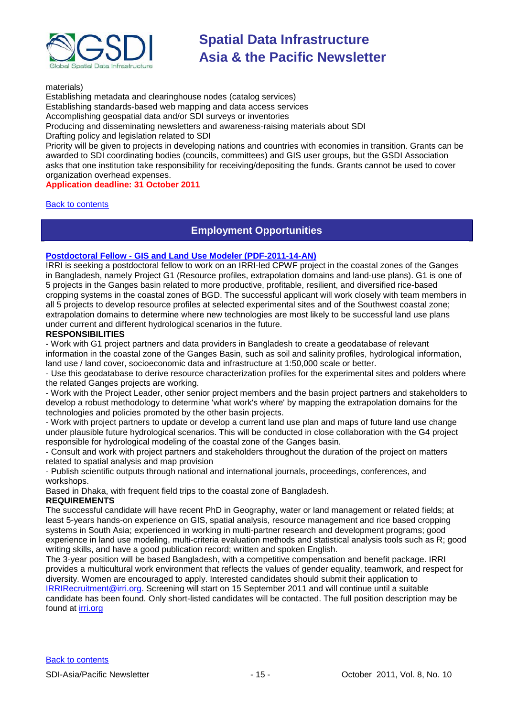

materials)

Establishing metadata and clearinghouse nodes (catalog services) Establishing standards-based web mapping and data access services Accomplishing geospatial data and/or SDI surveys or inventories Producing and disseminating newsletters and awareness-raising materials about SDI Drafting policy and legislation related to SDI Priority will be given to projects in developing nations and countries with economies in transition. Grants can be

awarded to SDI coordinating bodies (councils, committees) and GIS user groups, but the GSDI Association asks that one institution take responsibility for receiving/depositing the funds. Grants cannot be used to cover organization overhead expenses.

**Application deadline: 31 October 2011**

<span id="page-14-0"></span>[Back to contents](#page-0-0)

### **Employment Opportunities**

#### **Postdoctoral Fellow - [GIS and Land Use Modeler \(PDF-2011-14-AN\)](http://irri.org/index.php?option=com_jobboard&view=job&id=254&catid=1&lyt=table)**

IRRI is seeking a postdoctoral fellow to work on an IRRI-led CPWF project in the coastal zones of the Ganges in Bangladesh, namely Project G1 (Resource profiles, extrapolation domains and land-use plans). G1 is one of 5 projects in the Ganges basin related to more productive, profitable, resilient, and diversified rice-based cropping systems in the coastal zones of BGD. The successful applicant will work closely with team members in all 5 projects to develop resource profiles at selected experimental sites and of the Southwest coastal zone; extrapolation domains to determine where new technologies are most likely to be successful land use plans under current and different hydrological scenarios in the future.

#### **RESPONSIBILITIES**

- Work with G1 project partners and data providers in Bangladesh to create a geodatabase of relevant information in the coastal zone of the Ganges Basin, such as soil and salinity profiles, hydrological information, land use / land cover, socioeconomic data and infrastructure at 1:50,000 scale or better.

- Use this geodatabase to derive resource characterization profiles for the experimental sites and polders where the related Ganges projects are working.

- Work with the Project Leader, other senior project members and the basin project partners and stakeholders to develop a robust methodology to determine 'what work's where' by mapping the extrapolation domains for the technologies and policies promoted by the other basin projects.

- Work with project partners to update or develop a current land use plan and maps of future land use change under plausible future hydrological scenarios. This will be conducted in close collaboration with the G4 project responsible for hydrological modeling of the coastal zone of the Ganges basin.

- Consult and work with project partners and stakeholders throughout the duration of the project on matters related to spatial analysis and map provision

- Publish scientific outputs through national and international journals, proceedings, conferences, and workshops.

Based in Dhaka, with frequent field trips to the coastal zone of Bangladesh.

#### **REQUIREMENTS**

The successful candidate will have recent PhD in Geography, water or land management or related fields; at least 5-years hands-on experience on GIS, spatial analysis, resource management and rice based cropping systems in South Asia; experienced in working in multi-partner research and development programs; good experience in land use modeling, multi-criteria evaluation methods and statistical analysis tools such as R; good writing skills, and have a good publication record; written and spoken English.

The 3-year position will be based Bangladesh, with a competitive compensation and benefit package. IRRI provides a multicultural work environment that reflects the values of gender equality, teamwork, and respect for diversity. Women are encouraged to apply. Interested candidates should submit their application to [IRRIRecruitment@irri.org.](mailto:IRRIRecruitment@irri.org) Screening will start on 15 September 2011 and will continue until a suitable candidate has been found. Only short-listed candidates will be contacted. The full position description may be found at [irri.org](http://irri.org/index.php?option=com_jobboard&view=job&id=254&catid=&lyt=table)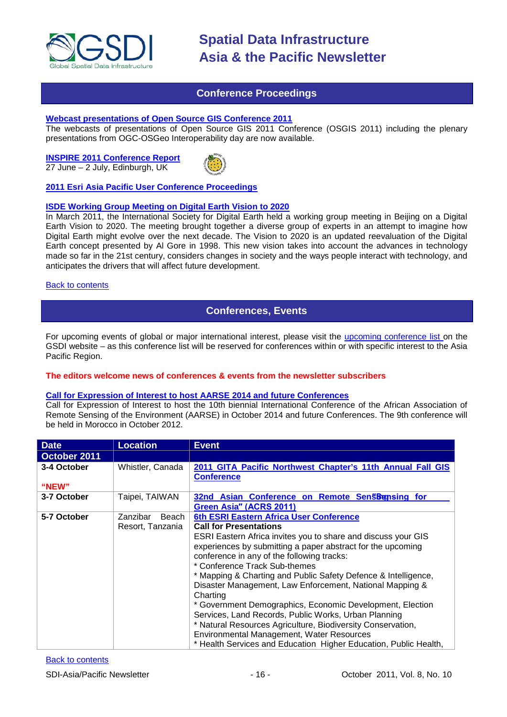

### **Conference Proceedings**

#### <span id="page-15-0"></span>**[Webcast presentations of Open Source GIS Conference 2011](http://cgs.nottingham.ac.uk/~osgis11/os_call_info.html)**

The webcasts of presentations of Open Source GIS 2011 Conference (OSGIS 2011) including the plenary presentations from OGC-OSGeo Interoperability day are now available.

**INSPIRE 2011 [Conference Report](http://www.sdimag.com/20110708150/events/event-coverage/inspire-2011-conference-report.html)** 27 June – 2 July, Edinburgh, UK



### **[2011 Esri Asia Pacific User Conference Proceedings](http://www.geodata.com.ph/index.php?option=com_content&view=article&id=226:2011-apuc-proceedings&catid=45:new-a-events)**

#### **[ISDE Working Group Meeting on Digital Earth Vision to 2020](http://www.digitalearth-isde.org/news/Digital%20Earth%20Vision%20to%202020.html)**

In March 2011, the International Society for Digital Earth held a working group meeting in Beijing on a Digital Earth Vision to 2020. The meeting brought together a diverse group of experts in an attempt to imagine how Digital Earth might evolve over the next decade. The Vision to 2020 is an updated reevaluation of the Digital Earth concept presented by Al Gore in 1998. This new vision takes into account the advances in technology made so far in the 21st century, considers changes in society and the ways people interact with technology, and anticipates the drivers that will affect future development.

#### <span id="page-15-1"></span>**[Back to contents](#page-0-0)**

### **Conferences, Events**

For upcoming events of global or major international interest, please visit the [upcoming conference list o](http://gsdi.org/events/upcnf.asp)n the GSDI website – as this conference list will be reserved for conferences within or with specific interest to the Asia Pacific Region.

#### **The editors welcome news of conferences & events from the newsletter subscribers**

#### **[Call for Expression of Interest to host AARSE 2014 and future Conferences](http://lists.gsdi.org/pipermail/sdi-africa/2010-November/001135.html)**

Call for Expression of Interest to host the 10th biennial International Conference of the African Association of Remote Sensing of the Environment (AARSE) in October 2014 and future Conferences. The 9th conference will be held in Morocco in October 2012.

| <b>Date</b>          | <b>Location</b>                       | <b>Event</b>                                                                                                                                                                                                                                                                                                                                                                                                                                                                                                                                                                                                                                                       |  |
|----------------------|---------------------------------------|--------------------------------------------------------------------------------------------------------------------------------------------------------------------------------------------------------------------------------------------------------------------------------------------------------------------------------------------------------------------------------------------------------------------------------------------------------------------------------------------------------------------------------------------------------------------------------------------------------------------------------------------------------------------|--|
| October 2011         |                                       |                                                                                                                                                                                                                                                                                                                                                                                                                                                                                                                                                                                                                                                                    |  |
| 3-4 October<br>"NEW" | Whistler, Canada                      | 2011 GITA Pacific Northwest Chapter's 11th Annual Fall GIS<br><b>Conference</b>                                                                                                                                                                                                                                                                                                                                                                                                                                                                                                                                                                                    |  |
| 3-7 October          | Taipei, TAIWAN                        | 32nd Asian Conference on Remote Sens&gnsing for<br>Green Asia" (ACRS 2011)                                                                                                                                                                                                                                                                                                                                                                                                                                                                                                                                                                                         |  |
| 5-7 October          | Zanzibar<br>Beach<br>Resort, Tanzania | 6th ESRI Eastern Africa User Conference<br><b>Call for Presentations</b><br>ESRI Eastern Africa invites you to share and discuss your GIS<br>experiences by submitting a paper abstract for the upcoming<br>conference in any of the following tracks:<br>* Conference Track Sub-themes<br>* Mapping & Charting and Public Safety Defence & Intelligence,<br>Disaster Management, Law Enforcement, National Mapping &<br>Charting<br>* Government Demographics, Economic Development, Election<br>Services, Land Records, Public Works, Urban Planning<br>* Natural Resources Agriculture, Biodiversity Conservation,<br>Environmental Management, Water Resources |  |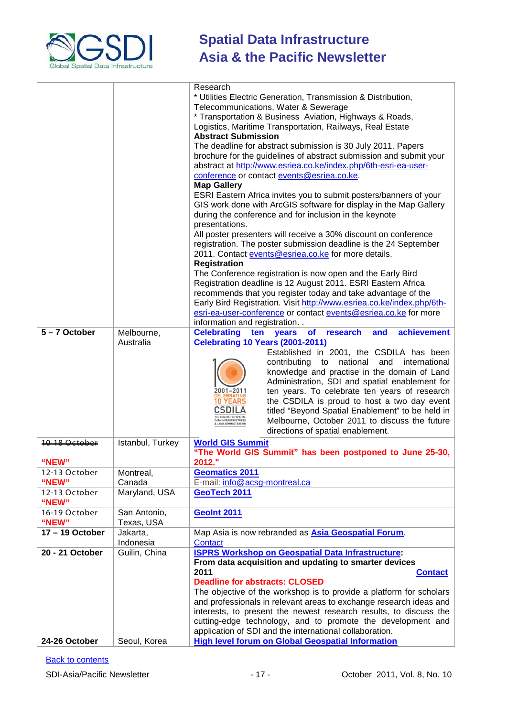

|                       |                  | Research                                                                          |  |
|-----------------------|------------------|-----------------------------------------------------------------------------------|--|
|                       |                  | * Utilities Electric Generation, Transmission & Distribution,                     |  |
|                       |                  | Telecommunications, Water & Sewerage                                              |  |
|                       |                  | * Transportation & Business Aviation, Highways & Roads,                           |  |
|                       |                  | Logistics, Maritime Transportation, Railways, Real Estate                         |  |
|                       |                  | <b>Abstract Submission</b>                                                        |  |
|                       |                  |                                                                                   |  |
|                       |                  | The deadline for abstract submission is 30 July 2011. Papers                      |  |
|                       |                  | brochure for the guidelines of abstract submission and submit your                |  |
|                       |                  | abstract at http://www.esriea.co.ke/index.php/6th-esri-ea-user-                   |  |
|                       |                  | conference or contact events@esriea.co.ke.                                        |  |
|                       |                  | <b>Map Gallery</b>                                                                |  |
|                       |                  | ESRI Eastern Africa invites you to submit posters/banners of your                 |  |
|                       |                  | GIS work done with ArcGIS software for display in the Map Gallery                 |  |
|                       |                  | during the conference and for inclusion in the keynote                            |  |
|                       |                  | presentations.                                                                    |  |
|                       |                  | All poster presenters will receive a 30% discount on conference                   |  |
|                       |                  | registration. The poster submission deadline is the 24 September                  |  |
|                       |                  | 2011. Contact events@esriea.co.ke for more details.                               |  |
|                       |                  | <b>Registration</b>                                                               |  |
|                       |                  | The Conference registration is now open and the Early Bird                        |  |
|                       |                  | Registration deadline is 12 August 2011. ESRI Eastern Africa                      |  |
|                       |                  | recommends that you register today and take advantage of the                      |  |
|                       |                  | Early Bird Registration. Visit http://www.esriea.co.ke/index.php/6th-             |  |
|                       |                  | esri-ea-user-conference or contact events@esriea.co.ke for more                   |  |
|                       |                  | information and registration                                                      |  |
| 5-7 October           | Melbourne,       | <b>Celebrating</b><br>achievement<br>research<br>and<br>ten<br>years<br><u>of</u> |  |
|                       | Australia        | <b>Celebrating 10 Years (2001-2011)</b>                                           |  |
|                       |                  | Established in 2001, the CSDILA has been                                          |  |
|                       |                  | to national<br>contributing<br>and international                                  |  |
|                       |                  | knowledge and practise in the domain of Land                                      |  |
|                       |                  | Administration, SDI and spatial enablement for                                    |  |
|                       |                  | 2001-2011<br>ten years. To celebrate ten years of research                        |  |
|                       |                  | the CSDILA is proud to host a two day event<br><b>10 YEARS</b>                    |  |
|                       |                  | CSDIL<br>titled "Beyond Spatial Enablement" to be held in                         |  |
|                       |                  | <b>DATA INFRASTRUCTURES</b>                                                       |  |
|                       |                  | Melbourne, October 2011 to discuss the future<br><b>LAND ADMINISTRATION</b>       |  |
|                       |                  | directions of spatial enablement.                                                 |  |
| <u> 10-18 October</u> | Istanbul, Turkey | <b>World GIS Summit</b>                                                           |  |
|                       |                  | "The World GIS Summit" has been postponed to June 25-30,                          |  |
| "NEW"                 |                  | 2012."                                                                            |  |
| 12-13 October         | Montreal,        | <b>Geomatics 2011</b>                                                             |  |
| "NEW"                 | Canada           | E-mail: info@acsg-montreal.ca                                                     |  |
| 12-13 October         | Maryland, USA    | GeoTech 2011                                                                      |  |
| "NEW"                 |                  |                                                                                   |  |
| 16-19 October         | San Antonio,     | <b>GeoInt 2011</b>                                                                |  |
| "NEW"                 | Texas, USA       |                                                                                   |  |
| 17 - 19 October       | Jakarta,         | Map Asia is now rebranded as <b>Asia Geospatial Forum</b> .                       |  |
|                       | Indonesia        | Contact                                                                           |  |
| 20 - 21 October       | Guilin, China    | <b>ISPRS Workshop on Geospatial Data Infrastructure:</b>                          |  |
|                       |                  | From data acquisition and updating to smarter devices                             |  |
|                       |                  | 2011<br><b>Contact</b>                                                            |  |
|                       |                  | <b>Deadline for abstracts: CLOSED</b>                                             |  |
|                       |                  | The objective of the workshop is to provide a platform for scholars               |  |
|                       |                  | and professionals in relevant areas to exchange research ideas and                |  |
|                       |                  | interests, to present the newest research results, to discuss the                 |  |
|                       |                  | cutting-edge technology, and to promote the development and                       |  |
|                       |                  | application of SDI and the international collaboration.                           |  |
| 24-26 October         | Seoul, Korea     | <b>High level forum on Global Geospatial Information</b>                          |  |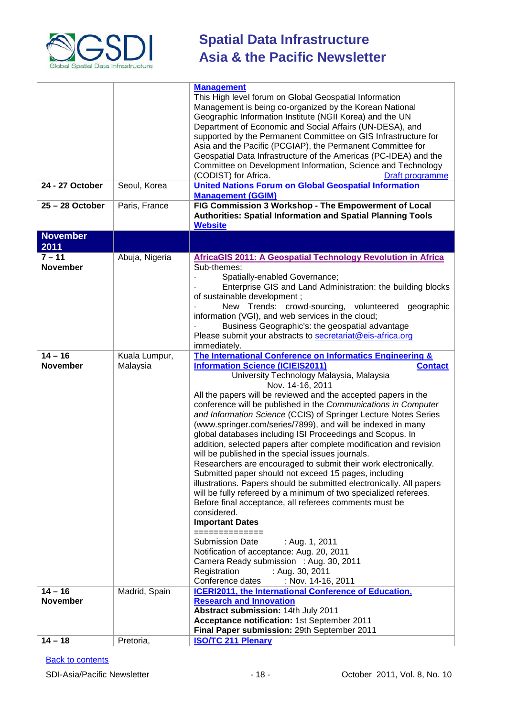

|                                     |                           | <b>Management</b><br>This High level forum on Global Geospatial Information<br>Management is being co-organized by the Korean National<br>Geographic Information Institute (NGII Korea) and the UN<br>Department of Economic and Social Affairs (UN-DESA), and<br>supported by the Permanent Committee on GIS Infrastructure for<br>Asia and the Pacific (PCGIAP), the Permanent Committee for<br>Geospatial Data Infrastructure of the Americas (PC-IDEA) and the<br>Committee on Development Information, Science and Technology<br>(CODIST) for Africa.<br>Draft programme                                                                                                                                                                                                                                                                                                                                                                                                                                                                                                                                                                                                                                                                                      |
|-------------------------------------|---------------------------|--------------------------------------------------------------------------------------------------------------------------------------------------------------------------------------------------------------------------------------------------------------------------------------------------------------------------------------------------------------------------------------------------------------------------------------------------------------------------------------------------------------------------------------------------------------------------------------------------------------------------------------------------------------------------------------------------------------------------------------------------------------------------------------------------------------------------------------------------------------------------------------------------------------------------------------------------------------------------------------------------------------------------------------------------------------------------------------------------------------------------------------------------------------------------------------------------------------------------------------------------------------------|
| 24 - 27 October                     | Seoul, Korea              | <b>United Nations Forum on Global Geospatial Information</b><br><b>Management (GGIM)</b>                                                                                                                                                                                                                                                                                                                                                                                                                                                                                                                                                                                                                                                                                                                                                                                                                                                                                                                                                                                                                                                                                                                                                                           |
| $25 - 28$ October                   | Paris, France             | FIG Commission 3 Workshop - The Empowerment of Local<br><b>Authorities: Spatial Information and Spatial Planning Tools</b><br><b>Website</b>                                                                                                                                                                                                                                                                                                                                                                                                                                                                                                                                                                                                                                                                                                                                                                                                                                                                                                                                                                                                                                                                                                                       |
| <b>November</b>                     |                           |                                                                                                                                                                                                                                                                                                                                                                                                                                                                                                                                                                                                                                                                                                                                                                                                                                                                                                                                                                                                                                                                                                                                                                                                                                                                    |
| 2011<br>$7 - 11$<br><b>November</b> | Abuja, Nigeria            | <b>AfricaGIS 2011: A Geospatial Technology Revolution in Africa</b><br>Sub-themes:<br>Spatially-enabled Governance;<br>Enterprise GIS and Land Administration: the building blocks<br>of sustainable development;<br>New Trends: crowd-sourcing, volunteered geographic<br>information (VGI), and web services in the cloud;<br>Business Geographic's: the geospatial advantage<br>Please submit your abstracts to secretariat@eis-africa.org<br>immediately.                                                                                                                                                                                                                                                                                                                                                                                                                                                                                                                                                                                                                                                                                                                                                                                                      |
| $14 - 16$<br><b>November</b>        | Kuala Lumpur,<br>Malaysia | The International Conference on Informatics Engineering &<br><b>Information Science (ICIEIS2011)</b><br><b>Contact</b><br>University Technology Malaysia, Malaysia<br>Nov. 14-16, 2011<br>All the papers will be reviewed and the accepted papers in the<br>conference will be published in the Communications in Computer<br>and Information Science (CCIS) of Springer Lecture Notes Series<br>(www.springer.com/series/7899), and will be indexed in many<br>global databases including ISI Proceedings and Scopus. In<br>addition, selected papers after complete modification and revision<br>will be published in the special issues journals.<br>Researchers are encouraged to submit their work electronically.<br>Submitted paper should not exceed 15 pages, including<br>illustrations. Papers should be submitted electronically. All papers<br>will be fully refereed by a minimum of two specialized referees.<br>Before final acceptance, all referees comments must be<br>considered.<br><b>Important Dates</b><br>==============<br><b>Submission Date</b><br>: Aug. 1, 2011<br>Notification of acceptance: Aug. 20, 2011<br>Camera Ready submission : Aug. 30, 2011<br>: Aug. 30, 2011<br>Registration<br>: Nov. 14-16, 2011<br>Conference dates |
| $14 - 16$<br><b>November</b>        | Madrid, Spain             | <b>ICERI2011, the International Conference of Education,</b><br><b>Research and Innovation</b><br>Abstract submission: 14th July 2011<br>Acceptance notification: 1st September 2011                                                                                                                                                                                                                                                                                                                                                                                                                                                                                                                                                                                                                                                                                                                                                                                                                                                                                                                                                                                                                                                                               |
| $14 - 18$                           | Pretoria,                 | Final Paper submission: 29th September 2011<br><b>ISO/TC 211 Plenary</b>                                                                                                                                                                                                                                                                                                                                                                                                                                                                                                                                                                                                                                                                                                                                                                                                                                                                                                                                                                                                                                                                                                                                                                                           |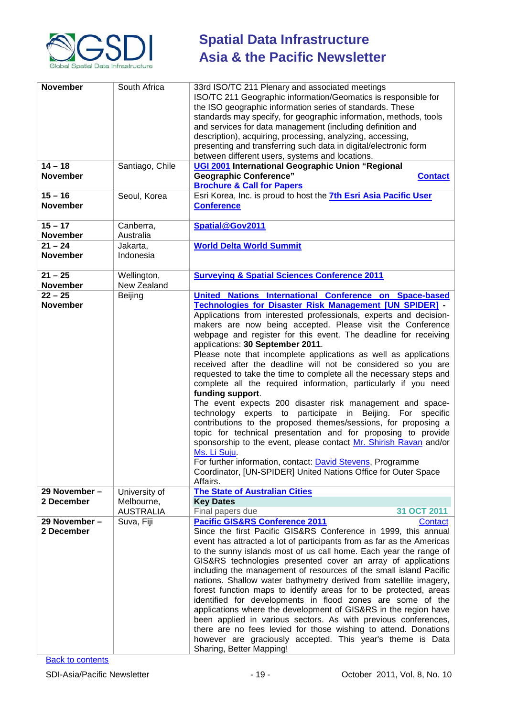

| <b>November</b>              | South Africa                   | 33rd ISO/TC 211 Plenary and associated meetings<br>ISO/TC 211 Geographic information/Geomatics is responsible for<br>the ISO geographic information series of standards. These<br>standards may specify, for geographic information, methods, tools<br>and services for data management (including definition and<br>description), acquiring, processing, analyzing, accessing,<br>presenting and transferring such data in digital/electronic form<br>between different users, systems and locations. |  |
|------------------------------|--------------------------------|--------------------------------------------------------------------------------------------------------------------------------------------------------------------------------------------------------------------------------------------------------------------------------------------------------------------------------------------------------------------------------------------------------------------------------------------------------------------------------------------------------|--|
| $14 - 18$<br><b>November</b> | Santiago, Chile                | UGI 2001 International Geographic Union "Regional<br><b>Geographic Conference"</b><br><b>Contact</b><br><b>Brochure &amp; Call for Papers</b>                                                                                                                                                                                                                                                                                                                                                          |  |
| $15 - 16$<br><b>November</b> | Seoul, Korea                   | Esri Korea, Inc. is proud to host the 7th Esri Asia Pacific User<br><b>Conference</b>                                                                                                                                                                                                                                                                                                                                                                                                                  |  |
| $15 - 17$<br><b>November</b> | Canberra,<br>Australia         | Spatial@Gov2011                                                                                                                                                                                                                                                                                                                                                                                                                                                                                        |  |
| $21 - 24$<br><b>November</b> | Jakarta,<br>Indonesia          | <b>World Delta World Summit</b>                                                                                                                                                                                                                                                                                                                                                                                                                                                                        |  |
| $21 - 25$<br><b>November</b> | Wellington,<br>New Zealand     | <b>Surveying &amp; Spatial Sciences Conference 2011</b>                                                                                                                                                                                                                                                                                                                                                                                                                                                |  |
| $22 - 25$                    | Beijing                        | United Nations International Conference on Space-based                                                                                                                                                                                                                                                                                                                                                                                                                                                 |  |
| <b>November</b>              |                                | Technologies for Disaster Risk Management [UN SPIDER] -                                                                                                                                                                                                                                                                                                                                                                                                                                                |  |
|                              |                                | Applications from interested professionals, experts and decision-                                                                                                                                                                                                                                                                                                                                                                                                                                      |  |
|                              |                                | makers are now being accepted. Please visit the Conference                                                                                                                                                                                                                                                                                                                                                                                                                                             |  |
|                              |                                | webpage and register for this event. The deadline for receiving                                                                                                                                                                                                                                                                                                                                                                                                                                        |  |
|                              |                                | applications: 30 September 2011.                                                                                                                                                                                                                                                                                                                                                                                                                                                                       |  |
|                              |                                | Please note that incomplete applications as well as applications                                                                                                                                                                                                                                                                                                                                                                                                                                       |  |
|                              |                                | received after the deadline will not be considered so you are                                                                                                                                                                                                                                                                                                                                                                                                                                          |  |
|                              |                                | requested to take the time to complete all the necessary steps and                                                                                                                                                                                                                                                                                                                                                                                                                                     |  |
|                              |                                | complete all the required information, particularly if you need                                                                                                                                                                                                                                                                                                                                                                                                                                        |  |
|                              |                                | funding support.                                                                                                                                                                                                                                                                                                                                                                                                                                                                                       |  |
|                              |                                | The event expects 200 disaster risk management and space-                                                                                                                                                                                                                                                                                                                                                                                                                                              |  |
|                              |                                | technology experts to participate in Beijing. For specific                                                                                                                                                                                                                                                                                                                                                                                                                                             |  |
|                              |                                | contributions to the proposed themes/sessions, for proposing a                                                                                                                                                                                                                                                                                                                                                                                                                                         |  |
|                              |                                | topic for technical presentation and for proposing to provide                                                                                                                                                                                                                                                                                                                                                                                                                                          |  |
|                              |                                | sponsorship to the event, please contact Mr. Shirish Ravan and/or                                                                                                                                                                                                                                                                                                                                                                                                                                      |  |
|                              |                                | Ms. Li Suju.                                                                                                                                                                                                                                                                                                                                                                                                                                                                                           |  |
|                              |                                | For further information, contact: David Stevens, Programme                                                                                                                                                                                                                                                                                                                                                                                                                                             |  |
|                              |                                | Coordinator, [UN-SPIDER] United Nations Office for Outer Space                                                                                                                                                                                                                                                                                                                                                                                                                                         |  |
|                              |                                | Affairs.                                                                                                                                                                                                                                                                                                                                                                                                                                                                                               |  |
| 29 November -<br>2 December  | University of                  | <b>The State of Australian Cities</b>                                                                                                                                                                                                                                                                                                                                                                                                                                                                  |  |
|                              | Melbourne,<br><b>AUSTRALIA</b> | <b>Key Dates</b><br>31 OCT 2011<br>Final papers due                                                                                                                                                                                                                                                                                                                                                                                                                                                    |  |
| 29 November -                | Suva, Fiji                     | <b>Pacific GIS&amp;RS Conference 2011</b><br>Contact                                                                                                                                                                                                                                                                                                                                                                                                                                                   |  |
| 2 December                   |                                | Since the first Pacific GIS&RS Conference in 1999, this annual                                                                                                                                                                                                                                                                                                                                                                                                                                         |  |
|                              |                                | event has attracted a lot of participants from as far as the Americas                                                                                                                                                                                                                                                                                                                                                                                                                                  |  |
|                              |                                | to the sunny islands most of us call home. Each year the range of                                                                                                                                                                                                                                                                                                                                                                                                                                      |  |
|                              |                                | GIS&RS technologies presented cover an array of applications                                                                                                                                                                                                                                                                                                                                                                                                                                           |  |
|                              |                                | including the management of resources of the small island Pacific                                                                                                                                                                                                                                                                                                                                                                                                                                      |  |
|                              |                                | nations. Shallow water bathymetry derived from satellite imagery,                                                                                                                                                                                                                                                                                                                                                                                                                                      |  |
|                              |                                | forest function maps to identify areas for to be protected, areas                                                                                                                                                                                                                                                                                                                                                                                                                                      |  |
|                              |                                | identified for developments in flood zones are some of the                                                                                                                                                                                                                                                                                                                                                                                                                                             |  |
|                              |                                | applications where the development of GIS&RS in the region have                                                                                                                                                                                                                                                                                                                                                                                                                                        |  |
|                              |                                | been applied in various sectors. As with previous conferences,                                                                                                                                                                                                                                                                                                                                                                                                                                         |  |
|                              |                                | there are no fees levied for those wishing to attend. Donations                                                                                                                                                                                                                                                                                                                                                                                                                                        |  |
|                              |                                | however are graciously accepted. This year's theme is Data                                                                                                                                                                                                                                                                                                                                                                                                                                             |  |
|                              |                                | Sharing, Better Mapping!                                                                                                                                                                                                                                                                                                                                                                                                                                                                               |  |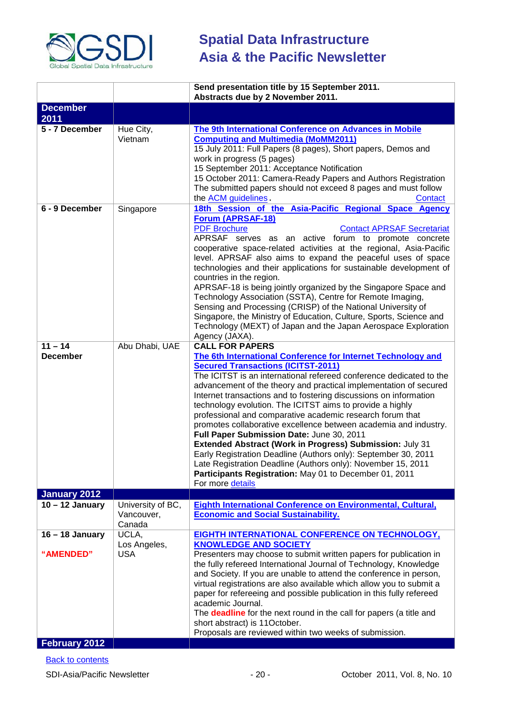

|                              |                                           | Send presentation title by 15 September 2011.<br>Abstracts due by 2 November 2011.                                                                                                                                                                                                                                                                                                                                                                                                                                                                                                                                                                                                                                                                                                                                                                      |  |
|------------------------------|-------------------------------------------|---------------------------------------------------------------------------------------------------------------------------------------------------------------------------------------------------------------------------------------------------------------------------------------------------------------------------------------------------------------------------------------------------------------------------------------------------------------------------------------------------------------------------------------------------------------------------------------------------------------------------------------------------------------------------------------------------------------------------------------------------------------------------------------------------------------------------------------------------------|--|
| <b>December</b><br>2011      |                                           |                                                                                                                                                                                                                                                                                                                                                                                                                                                                                                                                                                                                                                                                                                                                                                                                                                                         |  |
| 5 - 7 December               | Hue City,<br>Vietnam                      | The 9th International Conference on Advances in Mobile<br><b>Computing and Multimedia (MoMM2011)</b><br>15 July 2011: Full Papers (8 pages), Short papers, Demos and<br>work in progress (5 pages)<br>15 September 2011: Acceptance Notification<br>15 October 2011: Camera-Ready Papers and Authors Registration<br>The submitted papers should not exceed 8 pages and must follow<br>the <b>ACM</b> guidelines.<br>Contact                                                                                                                                                                                                                                                                                                                                                                                                                            |  |
| 6 - 9 December               | Singapore                                 | 18th Session of the Asia-Pacific Regional Space Agency<br><b>Forum (APRSAF-18)</b><br><b>PDF Brochure</b><br><b>Contact APRSAF Secretariat</b><br>APRSAF serves as an active forum to promote concrete<br>cooperative space-related activities at the regional, Asia-Pacific<br>level. APRSAF also aims to expand the peaceful uses of space<br>technologies and their applications for sustainable development of<br>countries in the region.<br>APRSAF-18 is being jointly organized by the Singapore Space and<br>Technology Association (SSTA), Centre for Remote Imaging,<br>Sensing and Processing (CRISP) of the National University of<br>Singapore, the Ministry of Education, Culture, Sports, Science and<br>Technology (MEXT) of Japan and the Japan Aerospace Exploration<br>Agency (JAXA).                                                |  |
| $11 - 14$<br><b>December</b> | Abu Dhabi, UAE                            | <b>CALL FOR PAPERS</b><br>The 6th International Conference for Internet Technology and<br><b>Secured Transactions (ICITST-2011)</b><br>The ICITST is an international refereed conference dedicated to the<br>advancement of the theory and practical implementation of secured<br>Internet transactions and to fostering discussions on information<br>technology evolution. The ICITST aims to provide a highly<br>professional and comparative academic research forum that<br>promotes collaborative excellence between academia and industry.<br>Full Paper Submission Date: June 30, 2011<br>Extended Abstract (Work in Progress) Submission: July 31<br>Early Registration Deadline (Authors only): September 30, 2011<br>Late Registration Deadline (Authors only): November 15, 2011<br>Participants Registration: May 01 to December 01, 2011 |  |
| January 2012                 |                                           | For more details                                                                                                                                                                                                                                                                                                                                                                                                                                                                                                                                                                                                                                                                                                                                                                                                                                        |  |
| $10 - 12$ January            | University of BC,<br>Vancouver,<br>Canada | Eighth International Conference on Environmental, Cultural,<br><b>Economic and Social Sustainability.</b>                                                                                                                                                                                                                                                                                                                                                                                                                                                                                                                                                                                                                                                                                                                                               |  |
| $16 - 18$ January            | UCLA,                                     | <b>EIGHTH INTERNATIONAL CONFERENCE ON TECHNOLOGY,</b>                                                                                                                                                                                                                                                                                                                                                                                                                                                                                                                                                                                                                                                                                                                                                                                                   |  |
| "AMENDED"                    | Los Angeles,<br><b>USA</b>                | <b>KNOWLEDGE AND SOCIETY</b><br>Presenters may choose to submit written papers for publication in<br>the fully refereed International Journal of Technology, Knowledge<br>and Society. If you are unable to attend the conference in person,<br>virtual registrations are also available which allow you to submit a<br>paper for refereeing and possible publication in this fully refereed<br>academic Journal.<br>The <b>deadline</b> for the next round in the call for papers (a title and<br>short abstract) is 11October.<br>Proposals are reviewed within two weeks of submission.                                                                                                                                                                                                                                                              |  |
| February 2012                |                                           |                                                                                                                                                                                                                                                                                                                                                                                                                                                                                                                                                                                                                                                                                                                                                                                                                                                         |  |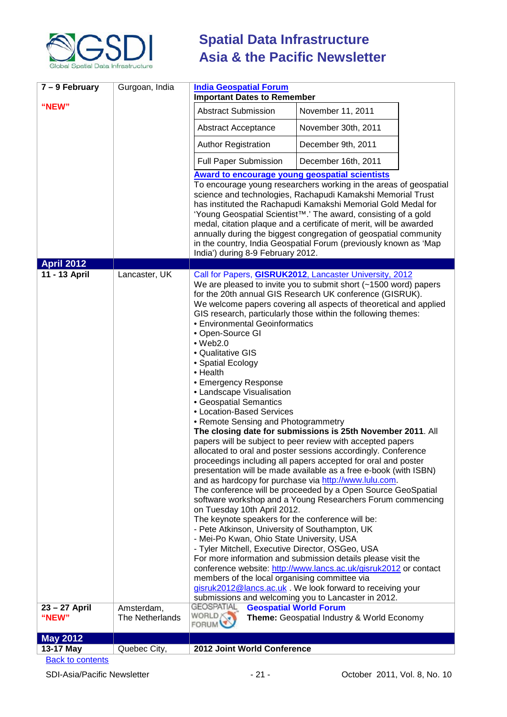

| $7 - 9$ February  | Gurgoan, India  | <b>India Geospatial Forum</b><br><b>Important Dates to Remember</b>                                                                                                                                                                                                                                                                                                                                                                                                                                                                                                                                                                                                                                                                          |                                                                                                                                                                                                                                                                                                                                                                                                                                                                                                                                                                                                                                                                                                                                                                                                                                                                                                                                       |
|-------------------|-----------------|----------------------------------------------------------------------------------------------------------------------------------------------------------------------------------------------------------------------------------------------------------------------------------------------------------------------------------------------------------------------------------------------------------------------------------------------------------------------------------------------------------------------------------------------------------------------------------------------------------------------------------------------------------------------------------------------------------------------------------------------|---------------------------------------------------------------------------------------------------------------------------------------------------------------------------------------------------------------------------------------------------------------------------------------------------------------------------------------------------------------------------------------------------------------------------------------------------------------------------------------------------------------------------------------------------------------------------------------------------------------------------------------------------------------------------------------------------------------------------------------------------------------------------------------------------------------------------------------------------------------------------------------------------------------------------------------|
| "NEW"             |                 | <b>Abstract Submission</b>                                                                                                                                                                                                                                                                                                                                                                                                                                                                                                                                                                                                                                                                                                                   | November 11, 2011                                                                                                                                                                                                                                                                                                                                                                                                                                                                                                                                                                                                                                                                                                                                                                                                                                                                                                                     |
|                   |                 | Abstract Acceptance                                                                                                                                                                                                                                                                                                                                                                                                                                                                                                                                                                                                                                                                                                                          | November 30th, 2011                                                                                                                                                                                                                                                                                                                                                                                                                                                                                                                                                                                                                                                                                                                                                                                                                                                                                                                   |
|                   |                 | <b>Author Registration</b>                                                                                                                                                                                                                                                                                                                                                                                                                                                                                                                                                                                                                                                                                                                   | December 9th, 2011                                                                                                                                                                                                                                                                                                                                                                                                                                                                                                                                                                                                                                                                                                                                                                                                                                                                                                                    |
|                   |                 | <b>Full Paper Submission</b>                                                                                                                                                                                                                                                                                                                                                                                                                                                                                                                                                                                                                                                                                                                 | December 16th, 2011                                                                                                                                                                                                                                                                                                                                                                                                                                                                                                                                                                                                                                                                                                                                                                                                                                                                                                                   |
|                   |                 | <b>Award to encourage young geospatial scientists</b>                                                                                                                                                                                                                                                                                                                                                                                                                                                                                                                                                                                                                                                                                        |                                                                                                                                                                                                                                                                                                                                                                                                                                                                                                                                                                                                                                                                                                                                                                                                                                                                                                                                       |
| <b>April 2012</b> |                 | India') during 8-9 February 2012.                                                                                                                                                                                                                                                                                                                                                                                                                                                                                                                                                                                                                                                                                                            | To encourage young researchers working in the areas of geospatial<br>science and technologies, Rachapudi Kamakshi Memorial Trust<br>has instituted the Rachapudi Kamakshi Memorial Gold Medal for<br>'Young Geospatial Scientist <sup>™</sup> .' The award, consisting of a gold<br>medal, citation plaque and a certificate of merit, will be awarded<br>annually during the biggest congregation of geospatial community<br>in the country, India Geospatial Forum (previously known as 'Map                                                                                                                                                                                                                                                                                                                                                                                                                                        |
| 11 - 13 April     | Lancaster, UK   |                                                                                                                                                                                                                                                                                                                                                                                                                                                                                                                                                                                                                                                                                                                                              | Call for Papers, GISRUK2012, Lancaster University, 2012                                                                                                                                                                                                                                                                                                                                                                                                                                                                                                                                                                                                                                                                                                                                                                                                                                                                               |
| 23-27 April       | Amsterdam,      | • Environmental Geoinformatics<br>• Open-Source GI<br>$\bullet$ Web2.0<br>• Qualitative GIS<br>• Spatial Ecology<br>• Health<br>• Emergency Response<br>• Landscape Visualisation<br>• Geospatial Semantics<br>• Location-Based Services<br>• Remote Sensing and Photogrammetry<br>and as hardcopy for purchase via http://www.lulu.com.<br>on Tuesday 10th April 2012.<br>The keynote speakers for the conference will be:<br>- Pete Atkinson, University of Southampton, UK<br>- Mei-Po Kwan, Ohio State University, USA<br>- Tyler Mitchell, Executive Director, OSGeo, USA<br>members of the local organising committee via<br>submissions and welcoming you to Lancaster in 2012.<br><b>GEOSPATIAL</b><br><b>Geospatial World Forum</b> | We are pleased to invite you to submit short (~1500 word) papers<br>for the 20th annual GIS Research UK conference (GISRUK).<br>We welcome papers covering all aspects of theoretical and applied<br>GIS research, particularly those within the following themes:<br>The closing date for submissions is 25th November 2011. All<br>papers will be subject to peer review with accepted papers<br>allocated to oral and poster sessions accordingly. Conference<br>proceedings including all papers accepted for oral and poster<br>presentation will be made available as a free e-book (with ISBN)<br>The conference will be proceeded by a Open Source GeoSpatial<br>software workshop and a Young Researchers Forum commencing<br>For more information and submission details please visit the<br>conference website: http://www.lancs.ac.uk/gisruk2012 or contact<br>gisruk2012@lancs.ac.uk . We look forward to receiving your |
| "NEW"             | The Netherlands | WORLD /<br><b>FORUM</b>                                                                                                                                                                                                                                                                                                                                                                                                                                                                                                                                                                                                                                                                                                                      | Theme: Geospatial Industry & World Economy                                                                                                                                                                                                                                                                                                                                                                                                                                                                                                                                                                                                                                                                                                                                                                                                                                                                                            |
| <b>May 2012</b>   |                 |                                                                                                                                                                                                                                                                                                                                                                                                                                                                                                                                                                                                                                                                                                                                              |                                                                                                                                                                                                                                                                                                                                                                                                                                                                                                                                                                                                                                                                                                                                                                                                                                                                                                                                       |
| 13-17 May         | Quebec City,    | 2012 Joint World Conference                                                                                                                                                                                                                                                                                                                                                                                                                                                                                                                                                                                                                                                                                                                  |                                                                                                                                                                                                                                                                                                                                                                                                                                                                                                                                                                                                                                                                                                                                                                                                                                                                                                                                       |
|                   |                 |                                                                                                                                                                                                                                                                                                                                                                                                                                                                                                                                                                                                                                                                                                                                              |                                                                                                                                                                                                                                                                                                                                                                                                                                                                                                                                                                                                                                                                                                                                                                                                                                                                                                                                       |

**[Back to contents](#page-0-0)**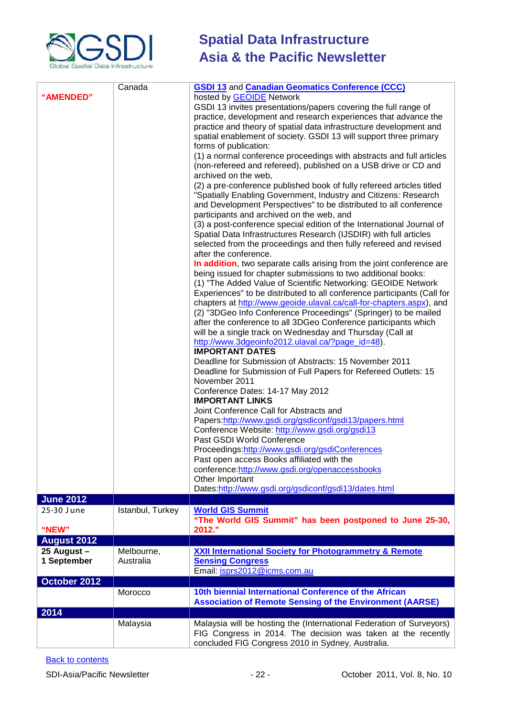

| "AMENDED"<br><b>June 2012</b><br>25-30 June | Canada<br>Istanbul, Turkey | <b>GSDI 13 and Canadian Geomatics Conference (CCC)</b><br>hosted by <b>GEOIDE</b> Network<br>GSDI 13 invites presentations/papers covering the full range of<br>practice, development and research experiences that advance the<br>practice and theory of spatial data infrastructure development and<br>spatial enablement of society. GSDI 13 will support three primary<br>forms of publication:<br>(1) a normal conference proceedings with abstracts and full articles<br>(non-refereed and refereed), published on a USB drive or CD and<br>archived on the web,<br>(2) a pre-conference published book of fully refereed articles titled<br>"Spatially Enabling Government, Industry and Citizens: Research<br>and Development Perspectives" to be distributed to all conference<br>participants and archived on the web, and<br>(3) a post-conference special edition of the International Journal of<br>Spatial Data Infrastructures Research (IJSDIR) with full articles<br>selected from the proceedings and then fully refereed and revised<br>after the conference.<br>In addition, two separate calls arising from the joint conference are<br>being issued for chapter submissions to two additional books:<br>(1) "The Added Value of Scientific Networking: GEOIDE Network<br>Experiences" to be distributed to all conference participants (Call for<br>chapters at http://www.geoide.ulaval.ca/call-for-chapters.aspx), and<br>(2) "3DGeo Info Conference Proceedings" (Springer) to be mailed<br>after the conference to all 3DGeo Conference participants which<br>will be a single track on Wednesday and Thursday (Call at<br>http://www.3dgeoinfo2012.ulaval.ca/?page_id=48).<br><b>IMPORTANT DATES</b><br>Deadline for Submission of Abstracts: 15 November 2011<br>Deadline for Submission of Full Papers for Refereed Outlets: 15<br>November 2011<br>Conference Dates: 14-17 May 2012<br><b>IMPORTANT LINKS</b><br>Joint Conference Call for Abstracts and<br>Papers:http://www.gsdi.org/gsdiconf/gsdi13/papers.html<br>Conference Website: http://www.gsdi.org/gsdi13<br>Past GSDI World Conference<br>Proceedings:http://www.gsdi.org/gsdiConferences<br>Past open access Books affiliated with the<br>conference:http://www.gsdi.org/openaccessbooks<br>Other Important<br>Dates:http://www.gsdi.org/gsdiconf/gsdi13/dates.html<br><b>World GIS Summit</b> |
|---------------------------------------------|----------------------------|-------------------------------------------------------------------------------------------------------------------------------------------------------------------------------------------------------------------------------------------------------------------------------------------------------------------------------------------------------------------------------------------------------------------------------------------------------------------------------------------------------------------------------------------------------------------------------------------------------------------------------------------------------------------------------------------------------------------------------------------------------------------------------------------------------------------------------------------------------------------------------------------------------------------------------------------------------------------------------------------------------------------------------------------------------------------------------------------------------------------------------------------------------------------------------------------------------------------------------------------------------------------------------------------------------------------------------------------------------------------------------------------------------------------------------------------------------------------------------------------------------------------------------------------------------------------------------------------------------------------------------------------------------------------------------------------------------------------------------------------------------------------------------------------------------------------------------------------------------------------------------------------------------------------------------------------------------------------------------------------------------------------------------------------------------------------------------------------------------------------------------------------------------------------------------------------------------------------------------------------------------------------------------------------------------------------------------------------------------------------------------------------|
| "NEW"                                       |                            | "The World GIS Summit" has been postponed to June 25-30,<br>2012."                                                                                                                                                                                                                                                                                                                                                                                                                                                                                                                                                                                                                                                                                                                                                                                                                                                                                                                                                                                                                                                                                                                                                                                                                                                                                                                                                                                                                                                                                                                                                                                                                                                                                                                                                                                                                                                                                                                                                                                                                                                                                                                                                                                                                                                                                                                        |
| <b>August 2012</b>                          |                            |                                                                                                                                                                                                                                                                                                                                                                                                                                                                                                                                                                                                                                                                                                                                                                                                                                                                                                                                                                                                                                                                                                                                                                                                                                                                                                                                                                                                                                                                                                                                                                                                                                                                                                                                                                                                                                                                                                                                                                                                                                                                                                                                                                                                                                                                                                                                                                                           |
| 25 August -<br>1 September                  | Melbourne,<br>Australia    | <b>XXII International Society for Photogrammetry &amp; Remote</b><br><b>Sensing Congress</b><br>Email: isprs2012@icms.com.au                                                                                                                                                                                                                                                                                                                                                                                                                                                                                                                                                                                                                                                                                                                                                                                                                                                                                                                                                                                                                                                                                                                                                                                                                                                                                                                                                                                                                                                                                                                                                                                                                                                                                                                                                                                                                                                                                                                                                                                                                                                                                                                                                                                                                                                              |
| October 2012                                |                            |                                                                                                                                                                                                                                                                                                                                                                                                                                                                                                                                                                                                                                                                                                                                                                                                                                                                                                                                                                                                                                                                                                                                                                                                                                                                                                                                                                                                                                                                                                                                                                                                                                                                                                                                                                                                                                                                                                                                                                                                                                                                                                                                                                                                                                                                                                                                                                                           |
|                                             | Morocco                    | 10th biennial International Conference of the African<br><b>Association of Remote Sensing of the Environment (AARSE)</b>                                                                                                                                                                                                                                                                                                                                                                                                                                                                                                                                                                                                                                                                                                                                                                                                                                                                                                                                                                                                                                                                                                                                                                                                                                                                                                                                                                                                                                                                                                                                                                                                                                                                                                                                                                                                                                                                                                                                                                                                                                                                                                                                                                                                                                                                  |
| 2014                                        | Malaysia                   | Malaysia will be hosting the (International Federation of Surveyors)<br>FIG Congress in 2014. The decision was taken at the recently<br>concluded FIG Congress 2010 in Sydney, Australia.                                                                                                                                                                                                                                                                                                                                                                                                                                                                                                                                                                                                                                                                                                                                                                                                                                                                                                                                                                                                                                                                                                                                                                                                                                                                                                                                                                                                                                                                                                                                                                                                                                                                                                                                                                                                                                                                                                                                                                                                                                                                                                                                                                                                 |